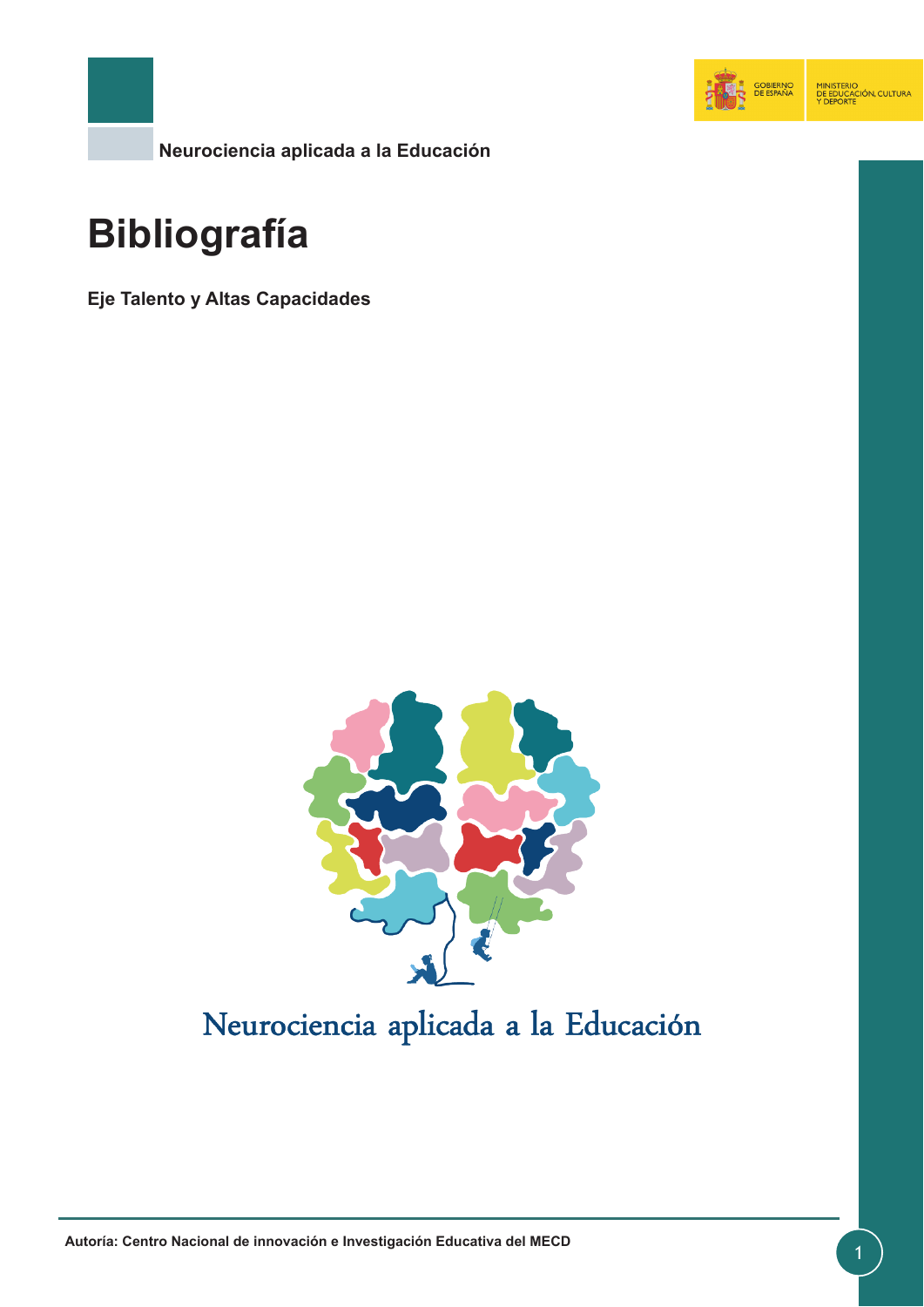

**Neurociencia aplicada a la Educación**

# **Bibliografía**

**Eje Talento y Altas Capacidades**



# Neurociencia aplicada a la Educación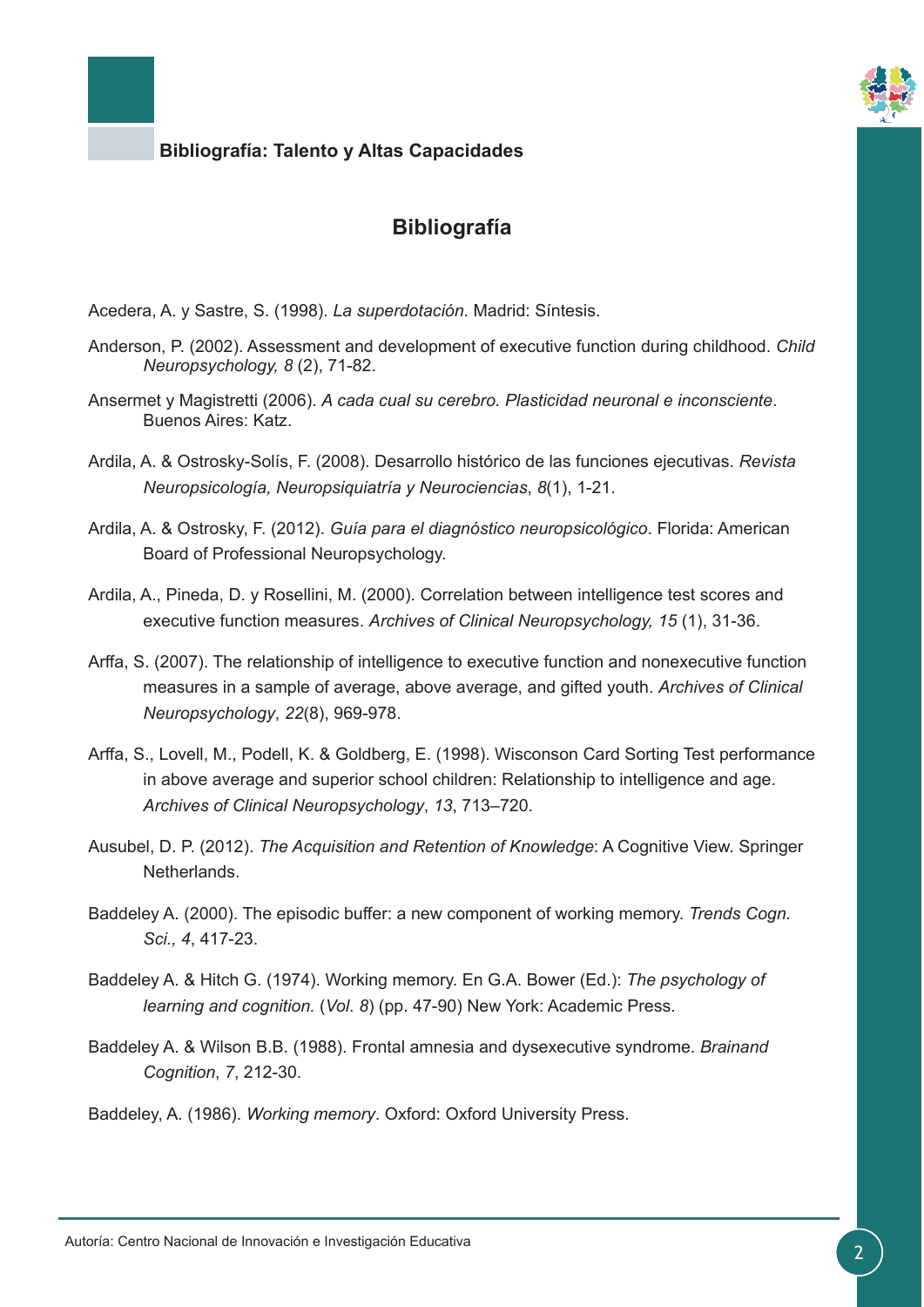

## **Bibliografía**

Acedera, A. y Sastre, S. (1998). *La superdotación*. Madrid: Síntesis.

- Anderson, P. (2002). Assessment and development of executive function during childhood. *Child Neuropsychology, 8* (2), 71-82.
- Ansermet y Magistretti (2006). *A cada cual su cerebro. Plasticidad neuronal e inconsciente*. Buenos Aires: Katz.
- Ardila, A. & Ostrosky-Solís, F. (2008). Desarrollo histórico de las funciones ejecutivas. *Revista Neuropsicología, Neuropsiquiatría y Neurociencias*, *8*(1), 1-21.
- Ardila, A. & Ostrosky, F. (2012). *Guía para el diagnóstico neuropsicológico*. Florida: American Board of Professional Neuropsychology.
- Ardila, A., Pineda, D. y Rosellini, M. (2000). Correlation between intelligence test scores and executive function measures. *Archives of Clinical Neuropsychology, 15* (1), 31-36.
- Arffa, S. (2007). The relationship of intelligence to executive function and nonexecutive function measures in a sample of average, above average, and gifted youth. *Archives of Clinical Neuropsychology*, *22*(8), 969-978.
- Arffa, S., Lovell, M., Podell, K. & Goldberg, E. (1998). Wisconson Card Sorting Test performance in above average and superior school children: Relationship to intelligence and age. *Archives of Clinical Neuropsychology*, *13*, 713–720.
- Ausubel, D. P. (2012). *The Acquisition and Retention of Knowledge*: A Cognitive View. Springer Netherlands.
- Baddeley A. (2000). The episodic buffer: a new component of working memory. *Trends Cogn. Sci., 4*, 417-23.
- Baddeley A. & Hitch G. (1974). Working memory. En G.A. Bower (Ed.): *The psychology of learning and cognition.* (*Vol*. *8*) (pp. 47-90) New York: Academic Press.
- Baddeley A. & Wilson B.B. (1988). Frontal amnesia and dysexecutive syndrome. *Brainand Cognition*, *7*, 212-30.

Baddeley, A. (1986). *Working memory*. Oxford: Oxford University Press.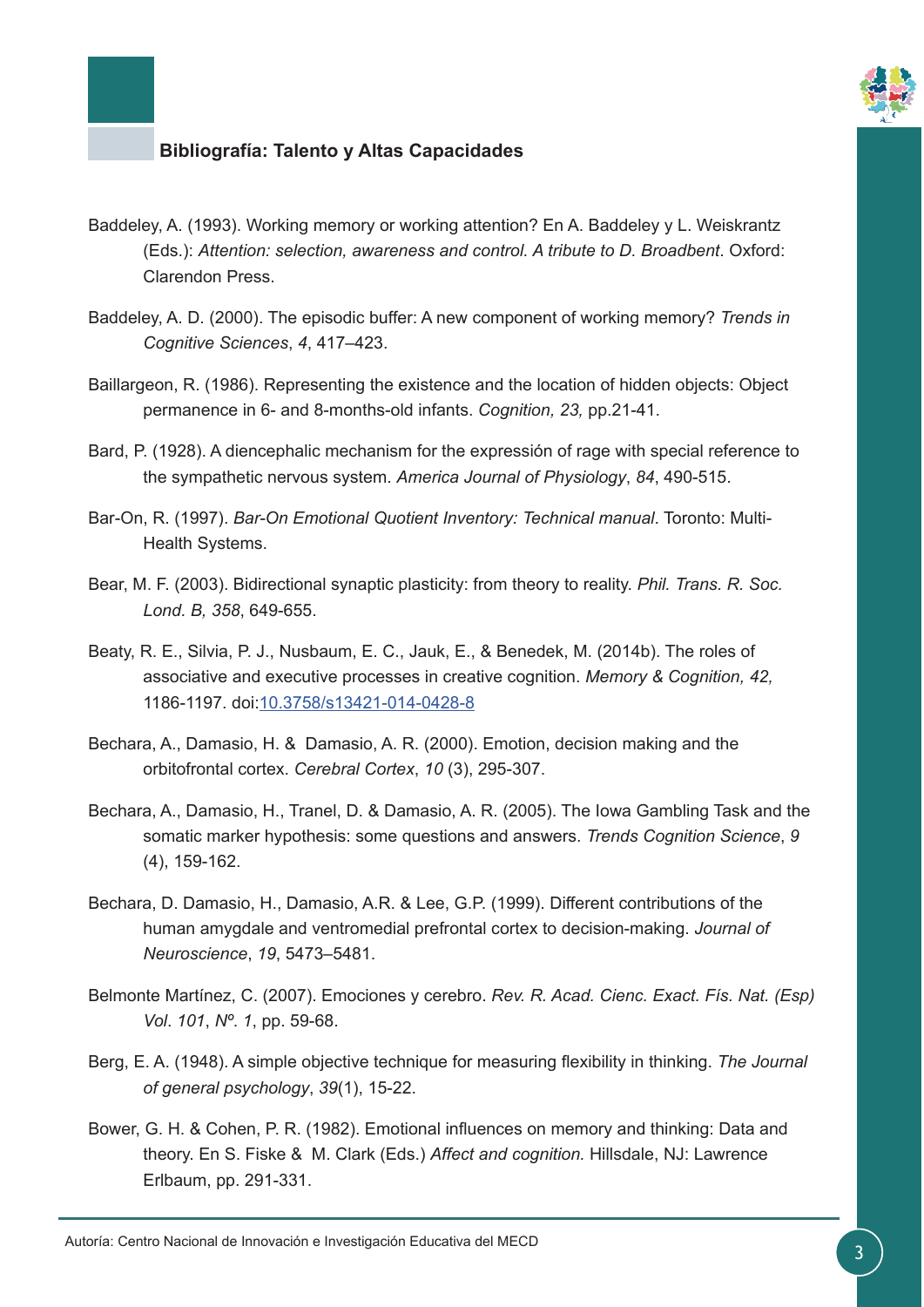

- Baddeley, A. (1993). Working memory or working attention? En A. Baddeley y L. Weiskrantz (Eds.): *Attention: selection, awareness and control. A tribute to D. Broadbent*. Oxford: Clarendon Press.
- Baddeley, A. D. (2000). The episodic buffer: A new component of working memory? *Trends in Cognitive Sciences*, *4*, 417–423.
- Baillargeon, R. (1986). Representing the existence and the location of hidden objects: Object permanence in 6- and 8-months-old infants. *Cognition, 23,* pp.21-41.
- Bard, P. (1928). A diencephalic mechanism for the expressión of rage with special reference to the sympathetic nervous system. *America Journal of Physiology*, *84*, 490-515.
- Bar-On, R. (1997). *Bar-On Emotional Quotient Inventory: Technical manual*. Toronto: Multi-Health Systems.
- Bear, M. F. (2003). Bidirectional synaptic plasticity: from theory to reality. *Phil. Trans. R. Soc. Lond. B, 358*, 649-655.
- Beaty, R. E., Silvia, P. J., Nusbaum, E. C., Jauk, E., & Benedek, M. (2014b). The roles of associative and executive processes in creative cognition. *Memory & Cognition, 42,* 1186-1197. doi[:10.3758/s13421-014-0428-8](https://www.ncbi.nlm.nih.gov/pubmed/24898118)
- Bechara, A., Damasio, H. & Damasio, A. R. (2000). Emotion, decision making and the orbitofrontal cortex. *Cerebral Cortex*, *10* (3), 295-307.
- Bechara, A., Damasio, H., Tranel, D. & Damasio, A. R. (2005). The Iowa Gambling Task and the somatic marker hypothesis: some questions and answers. *Trends Cognition Science*, *9* (4), 159-162.
- Bechara, D. Damasio, H., Damasio, A.R. & Lee, G.P. (1999). Different contributions of the human amygdale and ventromedial prefrontal cortex to decision-making. *Journal of Neuroscience*, *19*, 5473–5481.
- Belmonte Martínez, C. (2007). Emociones y cerebro. *Rev. R. Acad. Cienc. Exact. Fís. Nat. (Esp) Vol*. *101*, *Nº*. *1*, pp. 59-68.
- Berg, E. A. (1948). A simple objective technique for measuring flexibility in thinking. *The Journal of general psychology*, *39*(1), 15-22.
- Bower, G. H. & Cohen, P. R. (1982). Emotional influences on memory and thinking: Data and theory. En S. Fiske & M. Clark (Eds.) *Affect and cognition.* Hillsdale, NJ: Lawrence Erlbaum, pp. 291-331.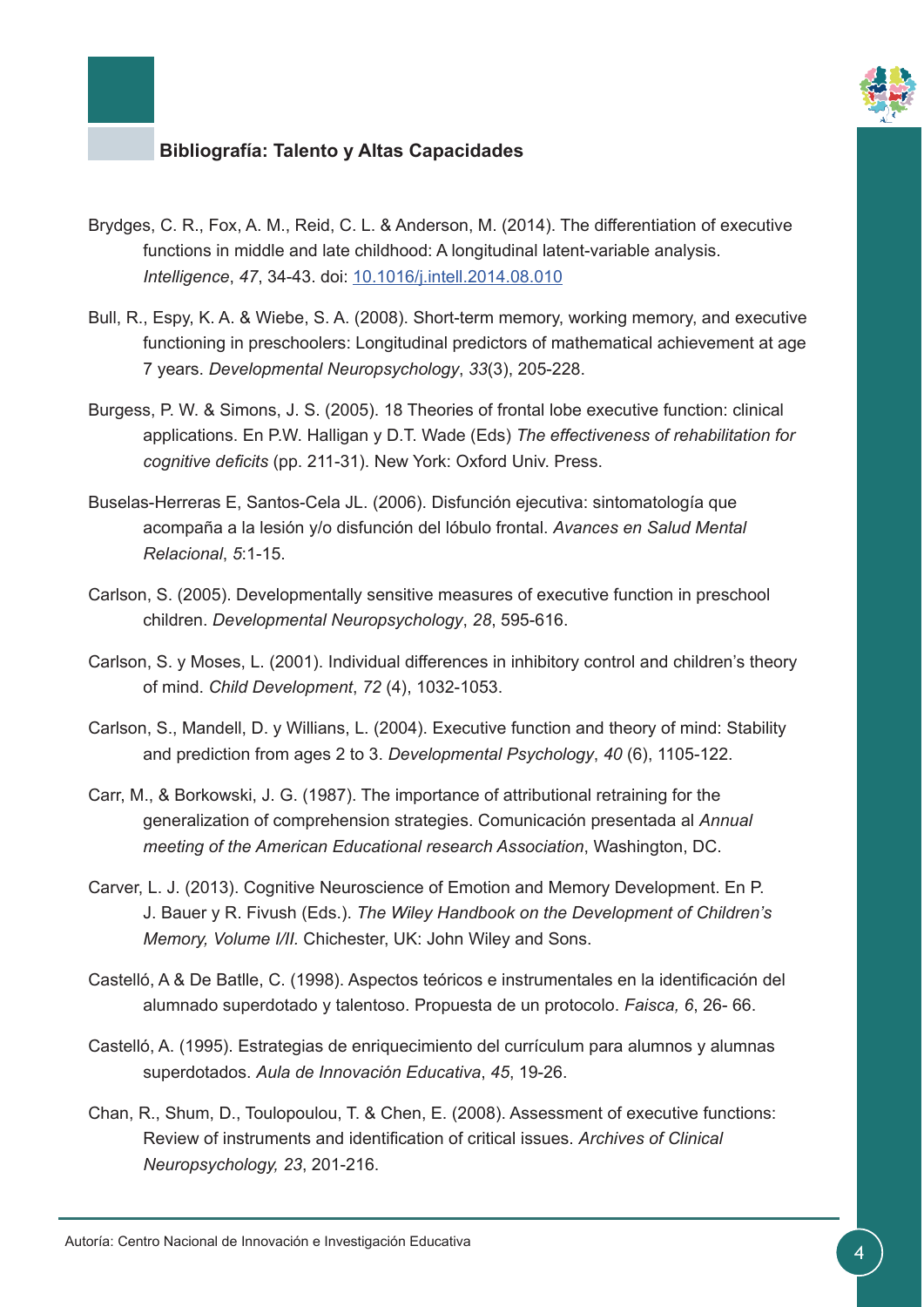

- Brydges, C. R., Fox, A. M., Reid, C. L. & Anderson, M. (2014). The differentiation of executive functions in middle and late childhood: A longitudinal latent-variable analysis. *Intelligence*, *47*, 34-43. doi: [10.1016/j.intell.2014.08.010](http://www.sciencedirect.com/science/article/pii/S0160289614001299?via%3Dihub)
- Bull, R., Espy, K. A. & Wiebe, S. A. (2008). Short-term memory, working memory, and executive functioning in preschoolers: Longitudinal predictors of mathematical achievement at age 7 years. *Developmental Neuropsychology*, *33*(3), 205-228.
- Burgess, P. W. & Simons, J. S. (2005). 18 Theories of frontal lobe executive function: clinical applications. En P.W. Halligan y D.T. Wade (Eds) *The effectiveness of rehabilitation for cognitive deficits* (pp. 211-31). New York: Oxford Univ. Press.
- Buselas-Herreras E, Santos-Cela JL. (2006). Disfunción ejecutiva: sintomatología que acompaña a la lesión y/o disfunción del lóbulo frontal. *Avances en Salud Mental Relacional*, *5*:1-15.
- Carlson, S. (2005). Developmentally sensitive measures of executive function in preschool children. *Developmental Neuropsychology*, *28*, 595-616.
- Carlson, S. y Moses, L. (2001). Individual differences in inhibitory control and children's theory of mind. *Child Development*, *72* (4), 1032-1053.
- Carlson, S., Mandell, D. y Willians, L. (2004). Executive function and theory of mind: Stability and prediction from ages 2 to 3. *Developmental Psychology*, *40* (6), 1105-122.
- Carr, M., & Borkowski, J. G. (1987). The importance of attributional retraining for the generalization of comprehension strategies. Comunicación presentada al *Annual meeting of the American Educational research Association*, Washington, DC.
- Carver, L. J. (2013). Cognitive Neuroscience of Emotion and Memory Development. En P. J. Bauer y R. Fivush (Eds.). *The Wiley Handbook on the Development of Children's Memory, Volume I/II.* Chichester, UK: John Wiley and Sons.
- Castelló, A & De Batlle, C. (1998). Aspectos teóricos e instrumentales en la identificación del alumnado superdotado y talentoso. Propuesta de un protocolo. *Faisca, 6*, 26- 66.
- Castelló, A. (1995). Estrategias de enriquecimiento del currículum para alumnos y alumnas superdotados. *Aula de Innovación Educativa*, *45*, 19-26.
- Chan, R., Shum, D., Toulopoulou, T. & Chen, E. (2008). Assessment of executive functions: Review of instruments and identification of critical issues. *Archives of Clinical Neuropsychology, 23*, 201-216.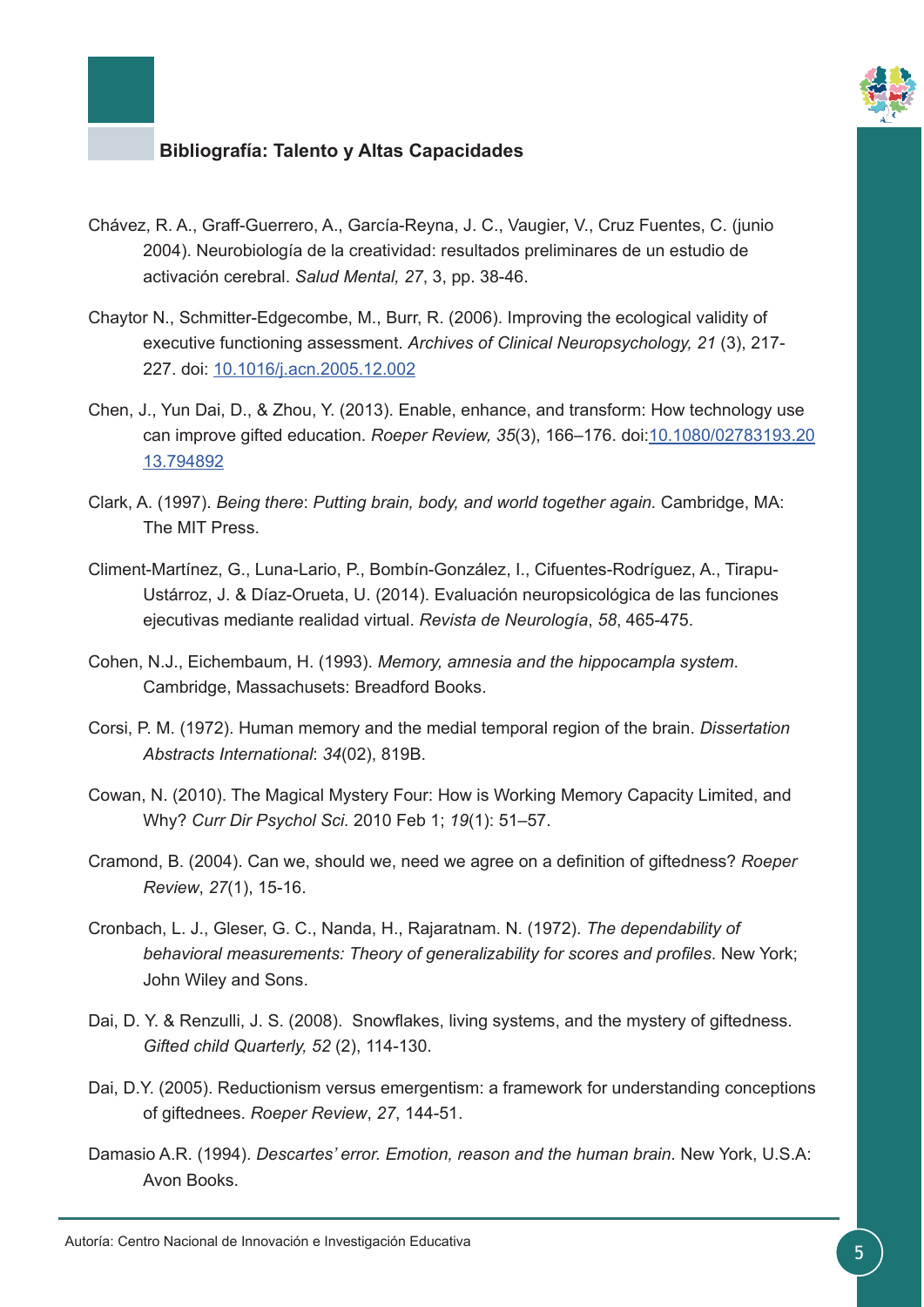

- Chávez, R. A., Graff-Guerrero, A., García-Reyna, J. C., Vaugier, V., Cruz Fuentes, C. (junio 2004). Neurobiología de la creatividad: resultados preliminares de un estudio de activación cerebral. *Salud Mental, 27*, 3, pp. 38-46.
- Chaytor N., Schmitter-Edgecombe, M., Burr, R. (2006). Improving the ecological validity of executive functioning assessment. *Archives of Clinical Neuropsychology, 21* (3), 217- 227. doi: [10.1016/j.acn.2005.12.002](https://academic.oup.com/acn/article-lookup/doi/10.1016/j.acn.2005.12.002)
- Chen, J., Yun Dai, D., & Zhou, Y. (2013). Enable, enhance, and transform: How technology use can improve gifted education. *Roeper Review, 35*(3), 166–176. doi[:10.1080/02783193.20](http://www.tandfonline.com/doi/abs/10.1080/02783193.2013.794892) [13.794892](http://www.tandfonline.com/doi/abs/10.1080/02783193.2013.794892)
- Clark, A. (1997). *Being there*: *Putting brain, body, and world together again.* Cambridge, MA: The MIT Press.
- Climent-Martínez, G., Luna-Lario, P., Bombín-González, I., Cifuentes-Rodríguez, A., Tirapu-Ustárroz, J. & Díaz-Orueta, U. (2014). Evaluación neuropsicológica de las funciones ejecutivas mediante realidad virtual. *Revista de Neurología*, *58*, 465-475.
- Cohen, N.J., Eichembaum, H. (1993). *Memory, amnesia and the hippocampla system*. Cambridge, Massachusets: Breadford Books.
- Corsi, P. M. (1972). Human memory and the medial temporal region of the brain. *Dissertation Abstracts International*: *34*(02), 819B.
- Cowan, N. (2010). The Magical Mystery Four: How is Working Memory Capacity Limited, and Why? *Curr Dir Psychol Sci.* 2010 Feb 1; *19*(1): 51–57.
- Cramond, B. (2004). Can we, should we, need we agree on a definition of giftedness? *Roeper Review*, *27*(1), 15-16.
- Cronbach, L. J., Gleser, G. C., Nanda, H., Rajaratnam. N. (1972). *The dependability of behavioral measurements: Theory of generalizability for scores and profiles*. New York; John Wiley and Sons.
- Dai, D. Y. & Renzulli, J. S. (2008). Snowflakes, living systems, and the mystery of giftedness. *Gifted child Quarterly, 52* (2), 114-130.
- Dai, D.Y. (2005). Reductionism versus emergentism: a framework for understanding conceptions of giftednees. *Roeper Review*, *27*, 144-51.
- Damasio A.R. (1994). *Descartes' error. Emotion, reason and the human brain*. New York, U.S.A: Avon Books.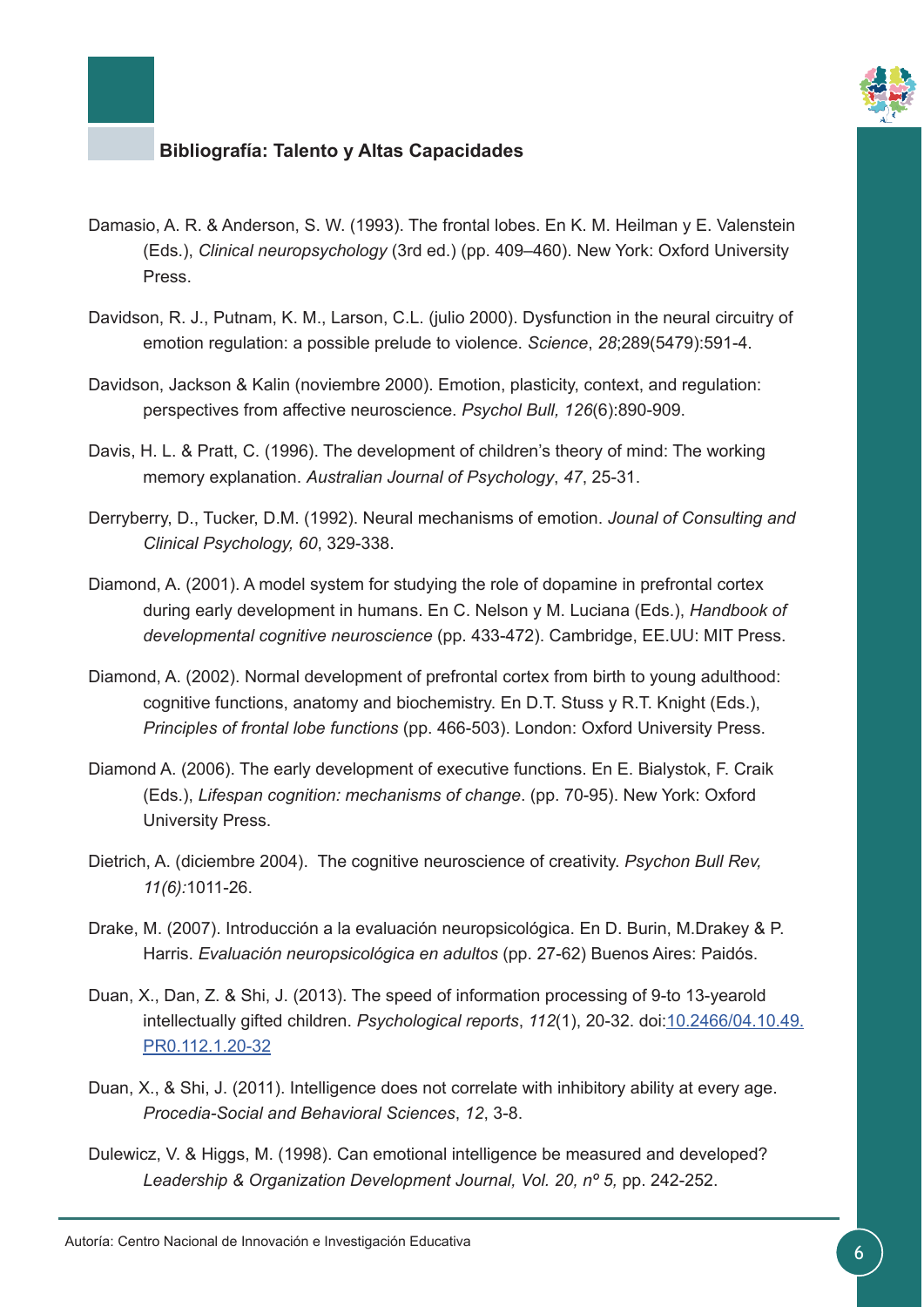

- Damasio, A. R. & Anderson, S. W. (1993). The frontal lobes. En K. M. Heilman y E. Valenstein (Eds.), *Clinical neuropsychology* (3rd ed.) (pp. 409–460). New York: Oxford University Press.
- Davidson, R. J., Putnam, K. M., Larson, C.L. (julio 2000). Dysfunction in the neural circuitry of emotion regulation: a possible prelude to violence. *Science*, *28*;289(5479):591-4.
- Davidson, Jackson & Kalin (noviembre 2000). Emotion, plasticity, context, and regulation: perspectives from affective neuroscience. *Psychol Bull, 126*(6):890-909.
- Davis, H. L. & Pratt, C. (1996). The development of children's theory of mind: The working memory explanation. *Australian Journal of Psychology*, *47*, 25-31.
- Derryberry, D., Tucker, D.M. (1992). Neural mechanisms of emotion. *Jounal of Consulting and Clinical Psychology, 60*, 329-338.
- Diamond, A. (2001). A model system for studying the role of dopamine in prefrontal cortex during early development in humans. En C. Nelson y M. Luciana (Eds.), *Handbook of developmental cognitive neuroscience* (pp. 433-472). Cambridge, EE.UU: MIT Press.
- Diamond, A. (2002). Normal development of prefrontal cortex from birth to young adulthood: cognitive functions, anatomy and biochemistry. En D.T. Stuss y R.T. Knight (Eds.), *Principles of frontal lobe functions* (pp. 466-503). London: Oxford University Press.
- Diamond A. (2006). The early development of executive functions. En E. Bialystok, F. Craik (Eds.), *Lifespan cognition: mechanisms of change*. (pp. 70-95). New York: Oxford University Press.
- Dietrich, A. (diciembre 2004). The cognitive neuroscience of creativity. *Psychon Bull Rev, 11(6):*1011-26.
- Drake, M. (2007). Introducción a la evaluación neuropsicológica. En D. Burin, M.Drakey & P. Harris. *Evaluación neuropsicológica en adultos* (pp. 27-62) Buenos Aires: Paidós.
- Duan, X., Dan, Z. & Shi, J. (2013). The speed of information processing of 9-to 13-yearold intellectually gifted children. *Psychological reports*, *112*(1), 20-32. doi:[10.2466/04.10.49.](http://journals.sagepub.com/doi/10.2466/04.10.49.PR0.112.1.20-32) [PR0.112.1.20-32](http://journals.sagepub.com/doi/10.2466/04.10.49.PR0.112.1.20-32)
- Duan, X., & Shi, J. (2011). Intelligence does not correlate with inhibitory ability at every age. *Procedia-Social and Behavioral Sciences*, *12*, 3-8.
- Dulewicz, V. & Higgs, M. (1998). Can emotional intelligence be measured and developed? *Leadership & Organization Development Journal, Vol. 20, nº 5,* pp. 242-252.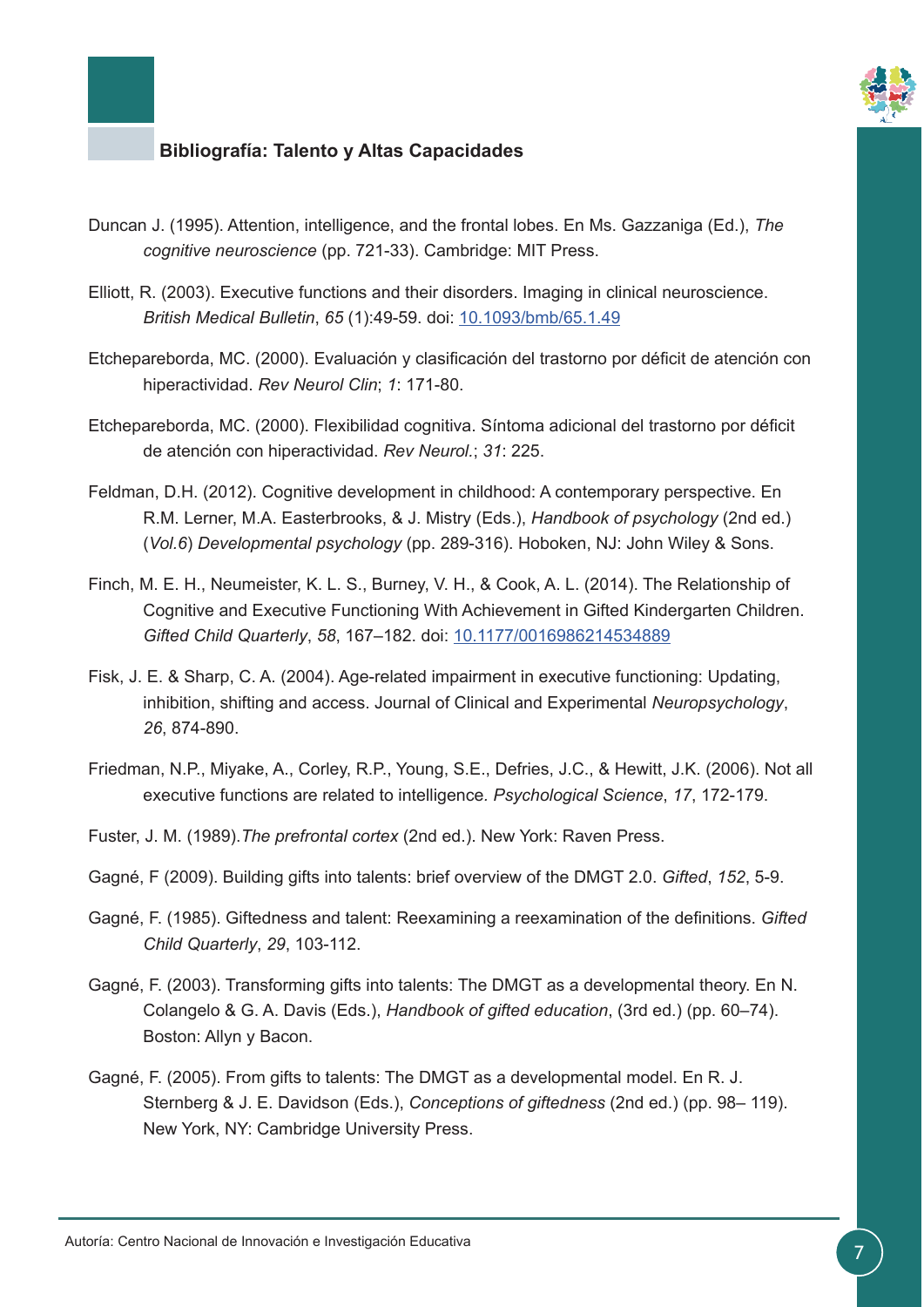

- Duncan J. (1995). Attention, intelligence, and the frontal lobes. En Ms. Gazzaniga (Ed.), *The cognitive neuroscience* (pp. 721-33). Cambridge: MIT Press.
- Elliott, R. (2003). Executive functions and their disorders. Imaging in clinical neuroscience. *British Medical Bulletin*, *65* (1):49-59. doi: [10.1093/bmb/65.1.49](https://academic.oup.com/bmb/article/65/1/49/375358/Executive-functions-and-their-disordersImaging-in)
- Etchepareborda, MC. (2000). Evaluación y clasificación del trastorno por déficit de atención con hiperactividad. *Rev Neurol Clin*; *1*: 171-80.
- Etchepareborda, MC. (2000). Flexibilidad cognitiva. Síntoma adicional del trastorno por déficit de atención con hiperactividad. *Rev Neurol.*; *31*: 225.
- Feldman, D.H. (2012). Cognitive development in childhood: A contemporary perspective. En R.M. Lerner, M.A. Easterbrooks, & J. Mistry (Eds.), *Handbook of psychology* (2nd ed.) (*Vol.6*) *Developmental psychology* (pp. 289-316). Hoboken, NJ: John Wiley & Sons.
- Finch, M. E. H., Neumeister, K. L. S., Burney, V. H., & Cook, A. L. (2014). The Relationship of Cognitive and Executive Functioning With Achievement in Gifted Kindergarten Children. Gifted Child Quarterly, 58, 167-182. doi: [10.1177/0016986214534889](http://journals.sagepub.com/doi/abs/10.1177/0016986214534889)
- Fisk, J. E. & Sharp, C. A. (2004). Age-related impairment in executive functioning: Updating, inhibition, shifting and access. Journal of Clinical and Experimental *Neuropsychology*, *26*, 874-890.
- Friedman, N.P., Miyake, A., Corley, R.P., Young, S.E., Defries, J.C., & Hewitt, J.K. (2006). Not all executive functions are related to intelligence*. Psychological Science*, *17*, 172-179.
- Fuster, J. M. (1989).*The prefrontal cortex* (2nd ed.). New York: Raven Press.
- Gagné, F (2009). Building gifts into talents: brief overview of the DMGT 2.0. *Gifted*, *152*, 5-9.
- Gagné, F. (1985). Giftedness and talent: Reexamining a reexamination of the definitions. *Gifted Child Quarterly*, *29*, 103-112.
- Gagné, F. (2003). Transforming gifts into talents: The DMGT as a developmental theory. En N. Colangelo & G. A. Davis (Eds.), *Handbook of gifted education*, (3rd ed.) (pp. 60–74). Boston: Allyn y Bacon.
- Gagné, F. (2005). From gifts to talents: The DMGT as a developmental model. En R. J. Sternberg & J. E. Davidson (Eds.), *Conceptions of giftedness* (2nd ed.) (pp. 98– 119). New York, NY: Cambridge University Press.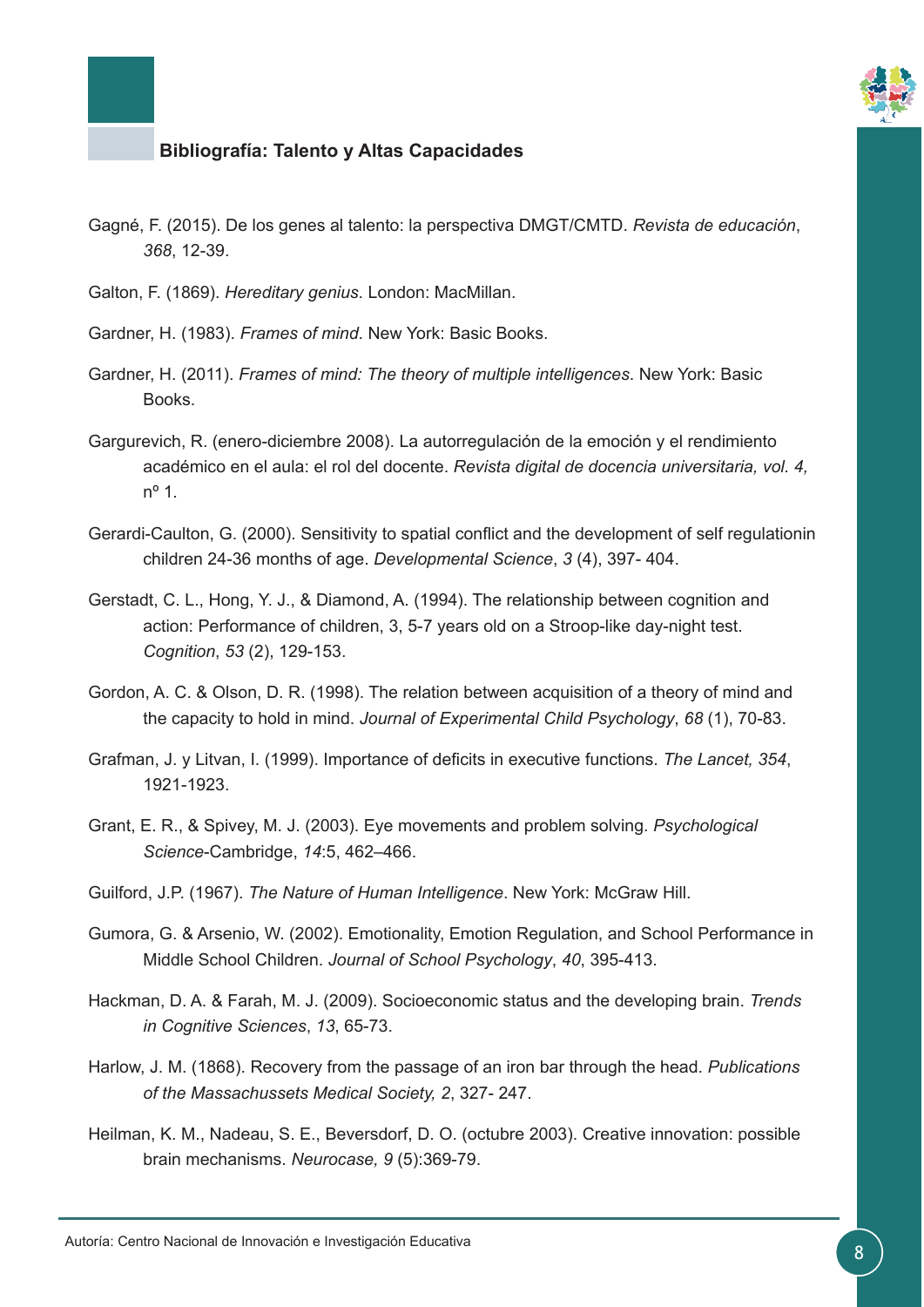

- Gagné, F. (2015). De los genes al talento: la perspectiva DMGT/CMTD. *Revista de educación*, *368*, 12-39.
- Galton, F. (1869). *Hereditary genius*. London: MacMillan.
- Gardner, H. (1983). *Frames of mind*. New York: Basic Books.
- Gardner, H. (2011). *Frames of mind: The theory of multiple intelligences*. New York: Basic Books.
- Gargurevich, R. (enero-diciembre 2008). La autorregulación de la emoción y el rendimiento académico en el aula: el rol del docente. *Revista digital de docencia universitaria, vol. 4,*  nº 1*.*
- Gerardi-Caulton, G. (2000). Sensitivity to spatial conflict and the development of self regulationin children 24-36 months of age. *Developmental Science*, *3* (4), 397- 404.
- Gerstadt, C. L., Hong, Y. J., & Diamond, A. (1994). The relationship between cognition and action: Performance of children, 3, 5-7 years old on a Stroop-like day-night test. *Cognition*, *53* (2), 129-153.
- Gordon, A. C. & Olson, D. R. (1998). The relation between acquisition of a theory of mind and the capacity to hold in mind. *Journal of Experimental Child Psychology*, *68* (1), 70-83.
- Grafman, J. y Litvan, I. (1999). Importance of deficits in executive functions. *The Lancet, 354*, 1921-1923.
- Grant, E. R., & Spivey, M. J. (2003). Eye movements and problem solving. *Psychological Science*-Cambridge, *14*:5, 462–466.
- Guilford, J.P. (1967). *The Nature of Human Intelligence*. New York: McGraw Hill.
- Gumora, G. & Arsenio, W. (2002). Emotionality, Emotion Regulation, and School Performance in Middle School Children. *Journal of School Psychology*, *40*, 395-413.
- Hackman, D. A. & Farah, M. J. (2009). Socioeconomic status and the developing brain. *Trends in Cognitive Sciences*, *13*, 65-73.
- Harlow, J. M. (1868). Recovery from the passage of an iron bar through the head. *Publications of the Massachussets Medical Society, 2*, 327- 247.
- Heilman, K. M., Nadeau, S. E., Beversdorf, D. O. (octubre 2003). Creative innovation: possible brain mechanisms. *Neurocase, 9* (5):369-79.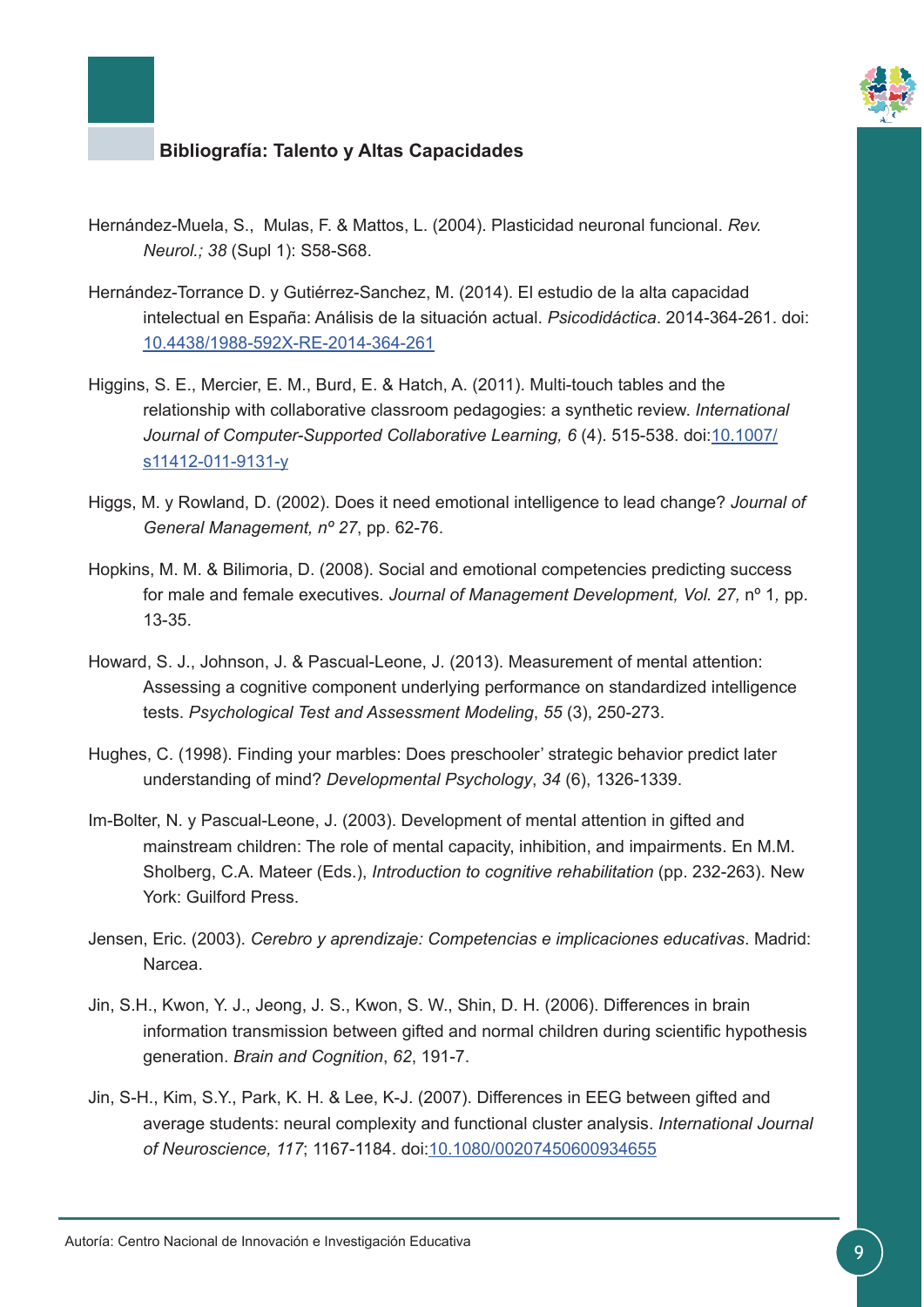

- Hernández-Muela, S., Mulas, F. & Mattos, L. (2004). Plasticidad neuronal funcional. *Rev. Neurol.; 38* (Supl 1): S58-S68.
- Hernández-Torrance D. y Gutiérrez-Sanchez, M. (2014). El estudio de la alta capacidad intelectual en España: Análisis de la situación actual. *Psicodidáctica*. 2014-364-261. doi: [10.4438/1988-592X-RE-2014-364-261](https://www.mecd.gob.es/revista-de-educacion/numeros-revista-educacion/numeros-anteriores/2014/364/re364_10.html)
- Higgins, S. E., Mercier, E. M., Burd, E. & Hatch, A. (2011). Multi-touch tables and the relationship with collaborative classroom pedagogies: a synthetic review. *International Journal of Computer-Supported Collaborative Learning, 6* (4). 515-538. doi[:10.1007/](https://link.springer.com/article/10.1007%2Fs11412-011-9131-y) [s11412-011-9131-y](https://link.springer.com/article/10.1007%2Fs11412-011-9131-y)
- Higgs, M. y Rowland, D. (2002). Does it need emotional intelligence to lead change? *Journal of General Management, nº 27*, pp. 62-76.
- Hopkins, M. M. & Bilimoria, D. (2008). Social and emotional competencies predicting success for male and female executives. Journal of Management Development, Vol. 27, nº 1, pp. 13-35.
- Howard, S. J., Johnson, J. & Pascual-Leone, J. (2013). Measurement of mental attention: Assessing a cognitive component underlying performance on standardized intelligence tests. *Psychological Test and Assessment Modeling*, *55* (3), 250-273.
- Hughes, C. (1998). Finding your marbles: Does preschooler' strategic behavior predict later understanding of mind? *Developmental Psychology*, *34* (6), 1326-1339.
- Im-Bolter, N. y Pascual-Leone, J. (2003). Development of mental attention in gifted and mainstream children: The role of mental capacity, inhibition, and impairments. En M.M. Sholberg, C.A. Mateer (Eds.), *Introduction to cognitive rehabilitation* (pp. 232-263). New York: Guilford Press.
- Jensen, Eric. (2003). *Cerebro y aprendizaje: Competencias e implicaciones educativas*. Madrid: Narcea.
- Jin, S.H., Kwon, Y. J., Jeong, J. S., Kwon, S. W., Shin, D. H. (2006). Differences in brain information transmission between gifted and normal children during scientific hypothesis generation. *Brain and Cognition*, *62*, 191-7.
- Jin, S-H., Kim, S.Y., Park, K. H. & Lee, K-J. (2007). Differences in EEG between gifted and average students: neural complexity and functional cluster analysis. *International Journal of Neuroscience, 117*; 1167-1184. doi[:10.1080/00207450600934655](http://www.tandfonline.com/doi/full/10.1080/00207450600934655)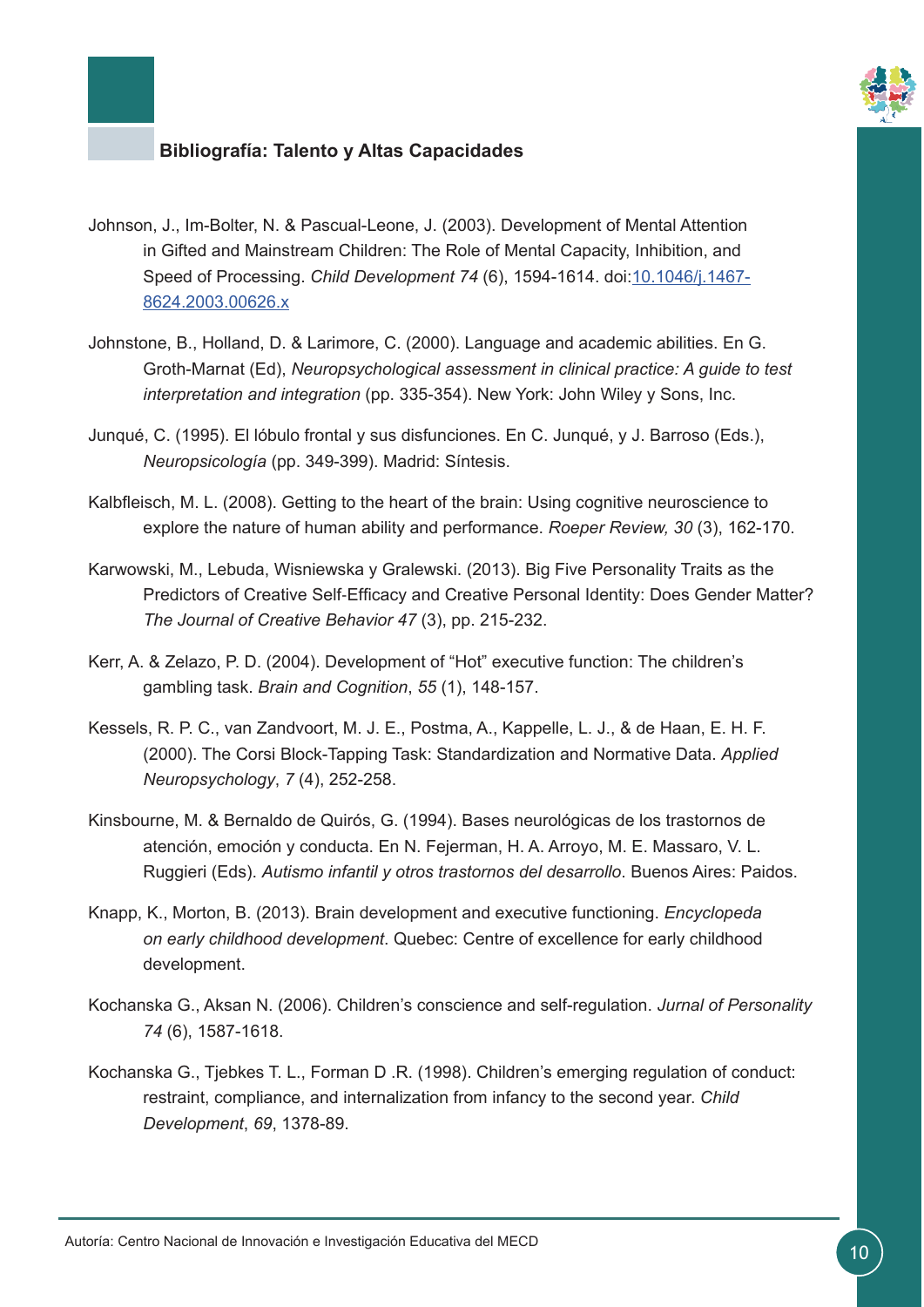

- Johnson, J., Im-Bolter, N. & Pascual-Leone, J. (2003). Development of Mental Attention in Gifted and Mainstream Children: The Role of Mental Capacity, Inhibition, and Speed of Processing. *Child Development 74* (6), 1594-1614. doi[:10.1046/j.1467-](http://onlinelibrary.wiley.com/doi/10.1046/j.1467-8624.2003.00626.x/full) [8624.2003.00626.x](http://onlinelibrary.wiley.com/doi/10.1046/j.1467-8624.2003.00626.x/full)
- Johnstone, B., Holland, D. & Larimore, C. (2000). Language and academic abilities. En G. Groth-Marnat (Ed), *Neuropsychological assessment in clinical practice: A guide to test interpretation and integration* (pp. 335-354). New York: John Wiley y Sons, Inc.
- Junqué, C. (1995). El lóbulo frontal y sus disfunciones. En C. Junqué, y J. Barroso (Eds.), *Neuropsicología* (pp. 349-399). Madrid: Síntesis.
- Kalbfleisch, M. L. (2008). Getting to the heart of the brain: Using cognitive neuroscience to explore the nature of human ability and performance. *Roeper Review, 30* (3), 162-170.
- Karwowski, M., Lebuda, Wisniewska y Gralewski. (2013). Big Five Personality Traits as the Predictors of Creative Self‐Efficacy and Creative Personal Identity: Does Gender Matter? *The Journal of Creative Behavior 47* (3), pp. 215-232.
- Kerr, A. & Zelazo, P. D. (2004). Development of "Hot" executive function: The children's gambling task. *Brain and Cognition*, *55* (1), 148-157.
- Kessels, R. P. C., van Zandvoort, M. J. E., Postma, A., Kappelle, L. J., & de Haan, E. H. F. (2000). The Corsi Block-Tapping Task: Standardization and Normative Data. *Applied Neuropsychology*, *7* (4), 252-258.
- Kinsbourne, M. & Bernaldo de Quirós, G. (1994). Bases neurológicas de los trastornos de atención, emoción y conducta. En N. Fejerman, H. A. Arroyo, M. E. Massaro, V. L. Ruggieri (Eds). *Autismo infantil y otros trastornos del desarrollo*. Buenos Aires: Paidos.
- Knapp, K., Morton, B. (2013). Brain development and executive functioning. *Encyclopeda on early childhood development*. Quebec: Centre of excellence for early childhood development.
- Kochanska G., Aksan N. (2006). Children's conscience and self-regulation. *Jurnal of Personality 74* (6), 1587-1618.
- Kochanska G., Tjebkes T. L., Forman D .R. (1998). Children's emerging regulation of conduct: restraint, compliance, and internalization from infancy to the second year. *Child Development*, *69*, 1378-89.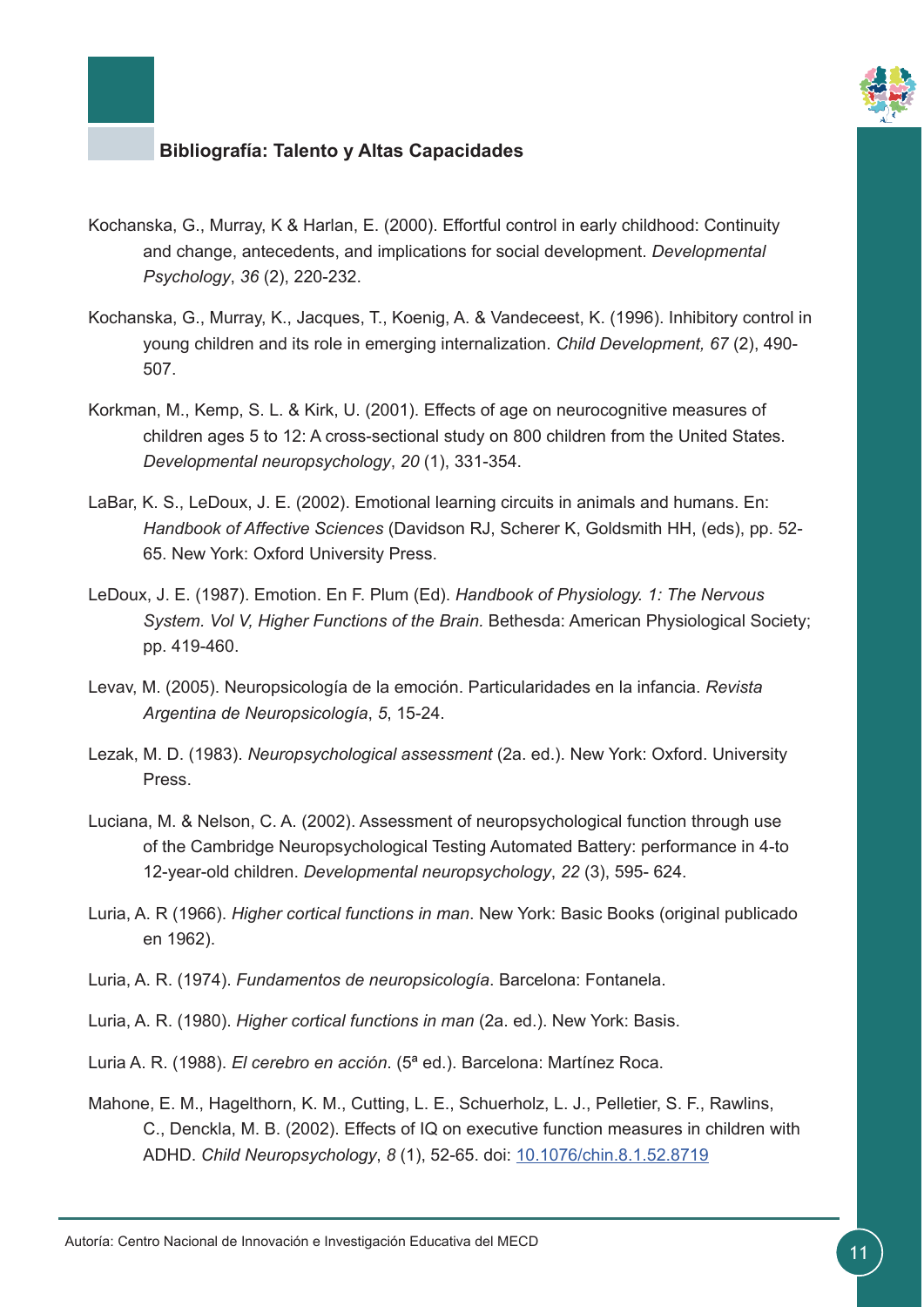

- Kochanska, G., Murray, K & Harlan, E. (2000). Effortful control in early childhood: Continuity and change, antecedents, and implications for social development. *Developmental Psychology*, *36* (2), 220-232.
- Kochanska, G., Murray, K., Jacques, T., Koenig, A. & Vandeceest, K. (1996). Inhibitory control in young children and its role in emerging internalization. *Child Development, 67* (2), 490- 507.
- Korkman, M., Kemp, S. L. & Kirk, U. (2001). Effects of age on neurocognitive measures of children ages 5 to 12: A cross-sectional study on 800 children from the United States. *Developmental neuropsychology*, *20* (1), 331-354.
- LaBar, K. S., LeDoux, J. E. (2002). Emotional learning circuits in animals and humans. En: *Handbook of Affective Sciences* (Davidson RJ, Scherer K, Goldsmith HH, (eds), pp. 52- 65. New York: Oxford University Press.
- LeDoux, J. E. (1987). Emotion. En F. Plum (Ed). *Handbook of Physiology. 1: The Nervous System. Vol V, Higher Functions of the Brain.* Bethesda: American Physiological Society; pp. 419-460.
- Levav, M. (2005). Neuropsicología de la emoción. Particularidades en la infancia. *Revista Argentina de Neuropsicología*, *5*, 15-24.
- Lezak, M. D. (1983). *Neuropsychological assessment* (2a. ed.). New York: Oxford. University Press.
- Luciana, M. & Nelson, C. A. (2002). Assessment of neuropsychological function through use of the Cambridge Neuropsychological Testing Automated Battery: performance in 4-to 12-year-old children. *Developmental neuropsychology*, *22* (3), 595- 624.
- Luria, A. R (1966). *Higher cortical functions in man*. New York: Basic Books (original publicado en 1962).
- Luria, A. R. (1974). *Fundamentos de neuropsicología*. Barcelona: Fontanela.
- Luria, A. R. (1980). *Higher cortical functions in man* (2a. ed.). New York: Basis.
- Luria A. R. (1988). *El cerebro en acción*. (5ª ed.). Barcelona: Martínez Roca.
- Mahone, E. M., Hagelthorn, K. M., Cutting, L. E., Schuerholz, L. J., Pelletier, S. F., Rawlins, C., Denckla, M. B. (2002). Effects of IQ on executive function measures in children with ADHD. *Child Neuropsychology*, *8* (1), 52-65. doi: [10.1076/chin.8.1.52.8719](http://www.tandfonline.com/doi/abs/10.1076/chin.8.1.52.8719)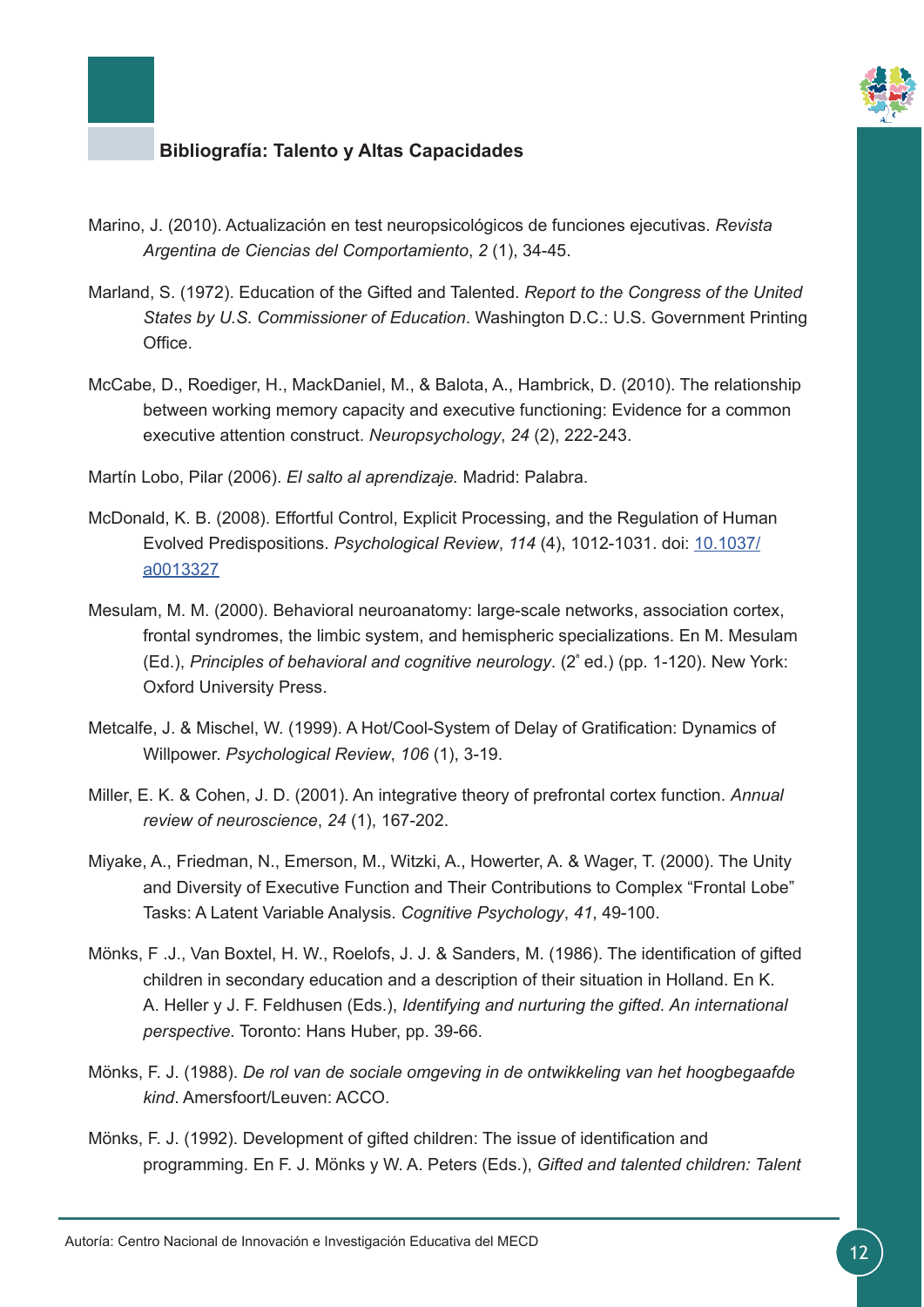

- Marino, J. (2010). Actualización en test neuropsicológicos de funciones ejecutivas. *Revista Argentina de Ciencias del Comportamiento*, *2* (1), 34-45.
- Marland, S. (1972). Education of the Gifted and Talented. *Report to the Congress of the United States by U.S. Commissioner of Education*. Washington D.C.: U.S. Government Printing **Office**
- McCabe, D., Roediger, H., MackDaniel, M., & Balota, A., Hambrick, D. (2010). The relationship between working memory capacity and executive functioning: Evidence for a common executive attention construct. *Neuropsychology*, *24* (2), 222-243.

Martín Lobo, Pilar (2006). *El salto al aprendizaje.* Madrid: Palabra.

- McDonald, K. B. (2008). Effortful Control, Explicit Processing, and the Regulation of Human Evolved Predispositions. *Psychological Review*, *114* (4), 1012-1031. doi: [10.1037/](http://psycnet.apa.org/?&fa=main.doiLanding&doi=10.1037/a0013327) [a0013327](http://psycnet.apa.org/?&fa=main.doiLanding&doi=10.1037/a0013327)
- Mesulam, M. M. (2000). Behavioral neuroanatomy: large-scale networks, association cortex, frontal syndromes, the limbic system, and hemispheric specializations. En M. Mesulam (Ed.), *Principles of behavioral and cognitive neurology*. (2ª ed.) (pp. 1-120). New York: Oxford University Press.
- Metcalfe, J. & Mischel, W. (1999). A Hot/Cool-System of Delay of Gratification: Dynamics of Willpower. *Psychological Review*, *106* (1), 3-19.
- Miller, E. K. & Cohen, J. D. (2001). An integrative theory of prefrontal cortex function. *Annual review of neuroscience*, *24* (1), 167-202.
- Miyake, A., Friedman, N., Emerson, M., Witzki, A., Howerter, A. & Wager, T. (2000). The Unity and Diversity of Executive Function and Their Contributions to Complex "Frontal Lobe" Tasks: A Latent Variable Analysis. *Cognitive Psychology*, *41*, 49-100.
- Mönks, F .J., Van Boxtel, H. W., Roelofs, J. J. & Sanders, M. (1986). The identification of gifted children in secondary education and a description of their situation in Holland. En K. A. Heller y J. F. Feldhusen (Eds.), *Identifying and nurturing the gifted. An international perspective.* Toronto: Hans Huber, pp. 39-66.
- Mönks, F. J. (1988). *De rol van de sociale omgeving in de ontwikkeling van het hoogbegaafde kind*. Amersfoort/Leuven: ACCO.
- Mönks, F. J. (1992). Development of gifted children: The issue of identification and programming. En F. J. Mönks y W. A. Peters (Eds.), *Gifted and talented children: Talent*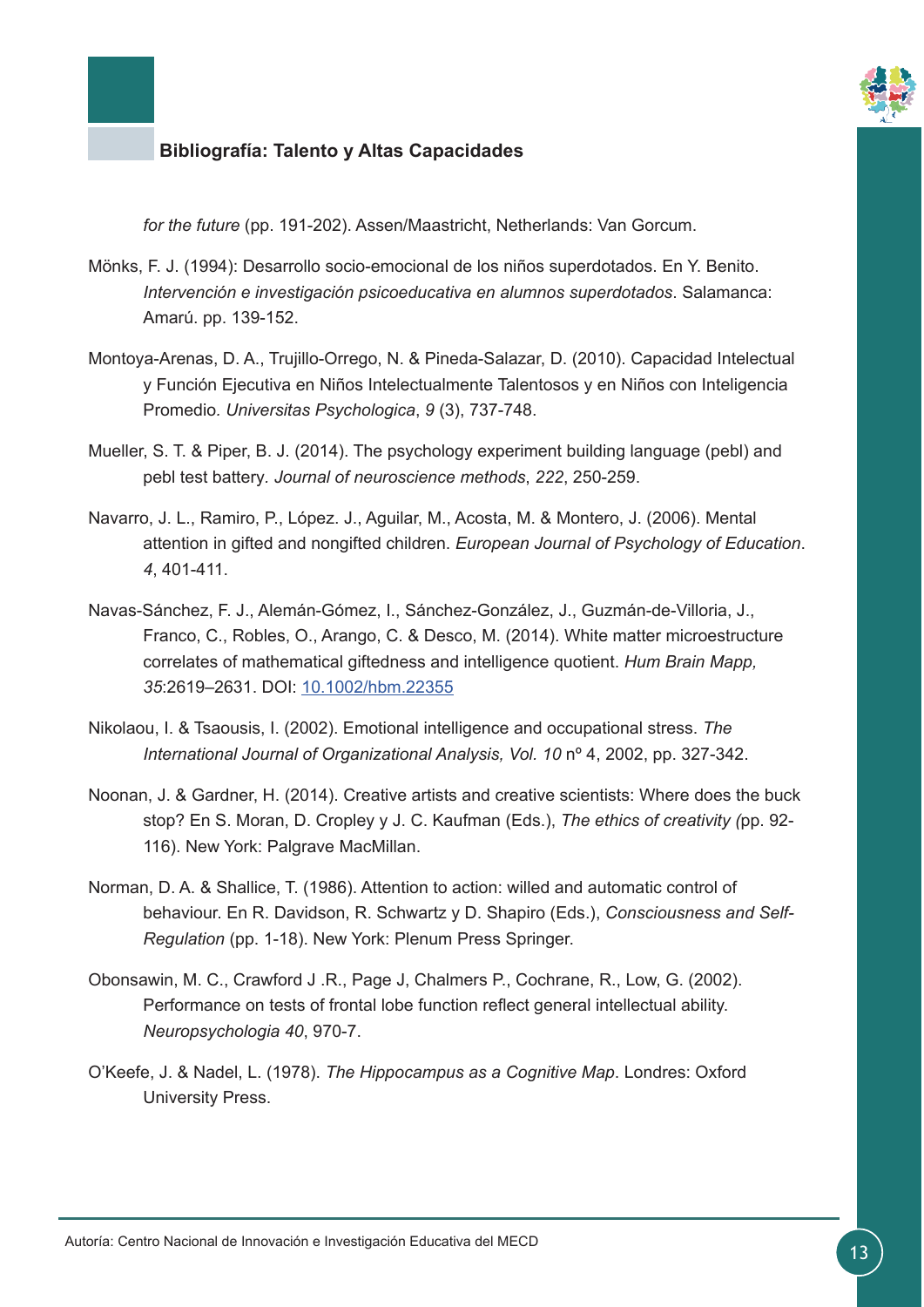

*for the future* (pp. 191-202). Assen/Maastricht, Netherlands: Van Gorcum.

- Mönks, F. J. (1994): Desarrollo socio-emocional de los niños superdotados. En Y. Benito. *Intervención e investigación psicoeducativa en alumnos superdotados*. Salamanca: Amarú. pp. 139-152.
- Montoya-Arenas, D. A., Trujillo-Orrego, N. & Pineda-Salazar, D. (2010). Capacidad Intelectual y Función Ejecutiva en Niños Intelectualmente Talentosos y en Niños con Inteligencia Promedio*. Universitas Psychologica*, *9* (3), 737-748.
- Mueller, S. T. & Piper, B. J. (2014). The psychology experiment building language (pebl) and pebl test battery*. Journal of neuroscience methods*, *222*, 250-259.
- Navarro, J. L., Ramiro, P., López. J., Aguilar, M., Acosta, M. & Montero, J. (2006). Mental attention in gifted and nongifted children. *European Journal of Psychology of Education*. *4*, 401-411.
- Navas-Sánchez, F. J., Alemán-Gómez, I., Sánchez-González, J., Guzmán-de-Villoria, J., Franco, C., Robles, O., Arango, C. & Desco, M. (2014). White matter microestructure correlates of mathematical giftedness and intelligence quotient. *Hum Brain Mapp, 35*:2619–2631. DOI: [10.1002/hbm.22355](http://onlinelibrary.wiley.com/doi/10.1002/hbm.22355/full)
- Nikolaou, I. & Tsaousis, I. (2002). Emotional intelligence and occupational stress. *The International Journal of Organizational Analysis, Vol. 10* nº 4, 2002, pp. 327-342.
- Noonan, J. & Gardner, H. (2014). Creative artists and creative scientists: Where does the buck stop? En S. Moran, D. Cropley y J. C. Kaufman (Eds.), *The ethics of creativity (*pp. 92- 116). New York: Palgrave MacMillan.
- Norman, D. A. & Shallice, T. (1986). Attention to action: willed and automatic control of behaviour. En R. Davidson, R. Schwartz y D. Shapiro (Eds.), *Consciousness and Self-Regulation* (pp. 1-18). New York: Plenum Press Springer.
- Obonsawin, M. C., Crawford J .R., Page J, Chalmers P., Cochrane, R., Low, G. (2002). Performance on tests of frontal lobe function reflect general intellectual ability. *Neuropsychologia 40*, 970-7.
- O'Keefe, J. & Nadel, L. (1978). *The Hippocampus as a Cognitive Map*. Londres: Oxford University Press.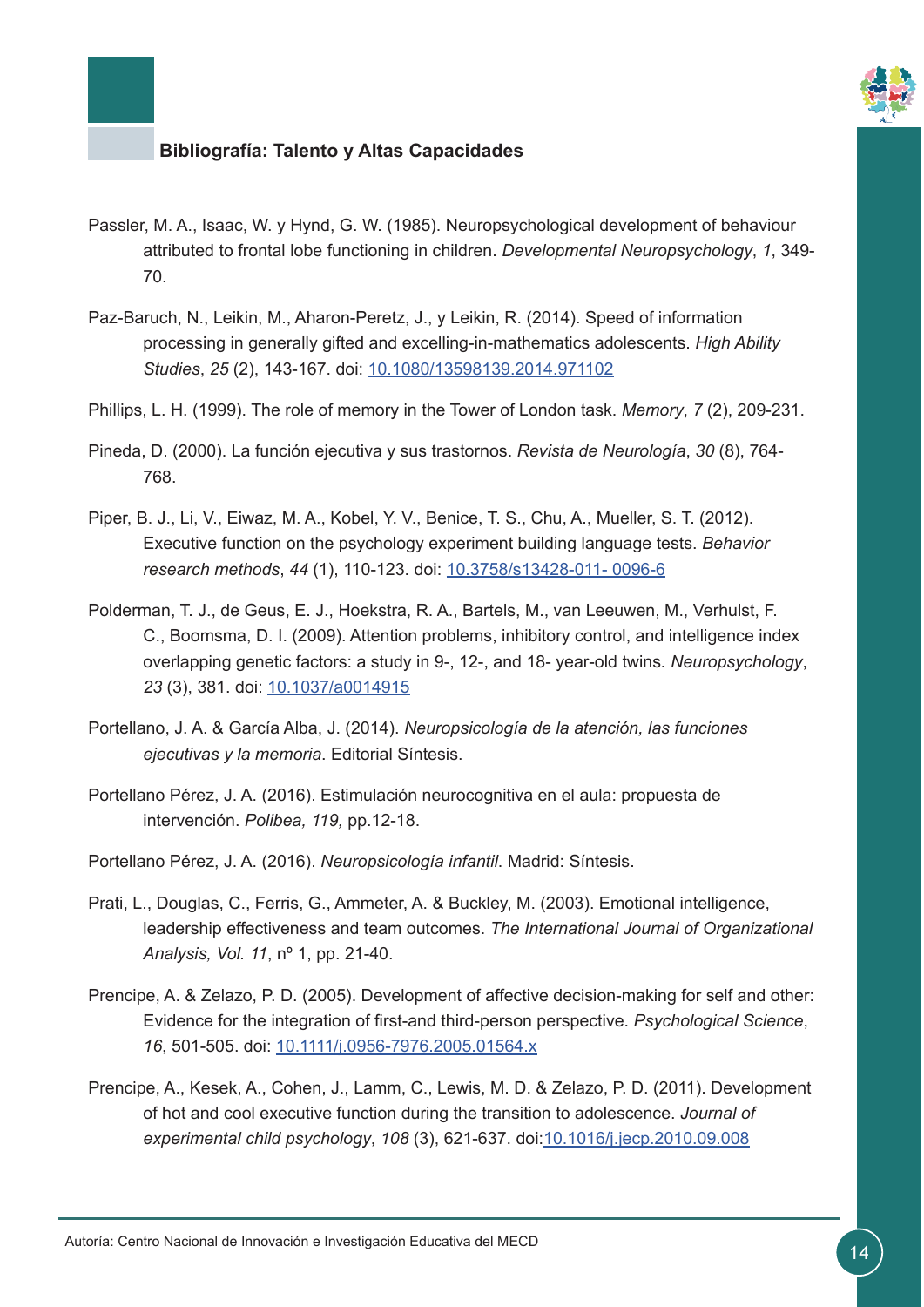

- Passler, M. A., Isaac, W. y Hynd, G. W. (1985). Neuropsychological development of behaviour attributed to frontal lobe functioning in children. *Developmental Neuropsychology*, *1*, 349- 70.
- Paz-Baruch, N., Leikin, M., Aharon-Peretz, J., y Leikin, R. (2014). Speed of information processing in generally gifted and excelling-in-mathematics adolescents. *High Ability Studies*, *25* (2), 143-167. doi: [10.1080/13598139.2014.971102](http://www.tandfonline.com/doi/abs/10.1080/13598139.2014.971102)
- Phillips, L. H. (1999). The role of memory in the Tower of London task. *Memory*, *7* (2), 209-231.
- Pineda, D. (2000). La función ejecutiva y sus trastornos. *Revista de Neurología*, *30* (8), 764- 768.
- Piper, B. J., Li, V., Eiwaz, M. A., Kobel, Y. V., Benice, T. S., Chu, A., Mueller, S. T. (2012). Executive function on the psychology experiment building language tests. *Behavior research methods*, *44* (1), 110-123. doi: [10.3758/s13428-011- 0096-6](https://link.springer.com/article/10.3758%2Fs13428-011-0096-6)
- Polderman, T. J., de Geus, E. J., Hoekstra, R. A., Bartels, M., van Leeuwen, M., Verhulst, F. C., Boomsma, D. I. (2009). Attention problems, inhibitory control, and intelligence index overlapping genetic factors: a study in 9-, 12-, and 18- year-old twins*. Neuropsychology*, 23 (3), 381. doi: [10.1037/a0014915](http://psycnet.apa.org/?&fa=main.doiLanding&doi=10.1037/a0014915)
- Portellano, J. A. & García Alba, J. (2014). *Neuropsicología de la atención, las funciones ejecutivas y la memoria*. Editorial Síntesis.
- Portellano Pérez, J. A. (2016). Estimulación neurocognitiva en el aula: propuesta de intervención. *Polibea, 119,* pp.12-18.
- Portellano Pérez, J. A. (2016). *Neuropsicología infantil*. Madrid: Síntesis.
- Prati, L., Douglas, C., Ferris, G., Ammeter, A. & Buckley, M. (2003). Emotional intelligence, leadership effectiveness and team outcomes. *The International Journal of Organizational Analysis, Vol. 11*, nº 1, pp. 21-40.
- Prencipe, A. & Zelazo, P. D. (2005). Development of affective decision-making for self and other: Evidence for the integration of first-and third-person perspective. *Psychological Science*, *16*, 501-505. doi: [10.1111/j.0956-7976.2005.01564.x](http://journals.sagepub.com/doi/abs/10.1111/j.0956-7976.2005.01564.x)
- Prencipe, A., Kesek, A., Cohen, J., Lamm, C., Lewis, M. D. & Zelazo, P. D. (2011). Development of hot and cool executive function during the transition to adolescence. *Journal of experimental child psychology*, *108* (3), 621-637. doi[:10.1016/j.jecp.2010.09.008](http://www.sciencedirect.com/science/article/pii/S0022096510001827?via%3Dihub)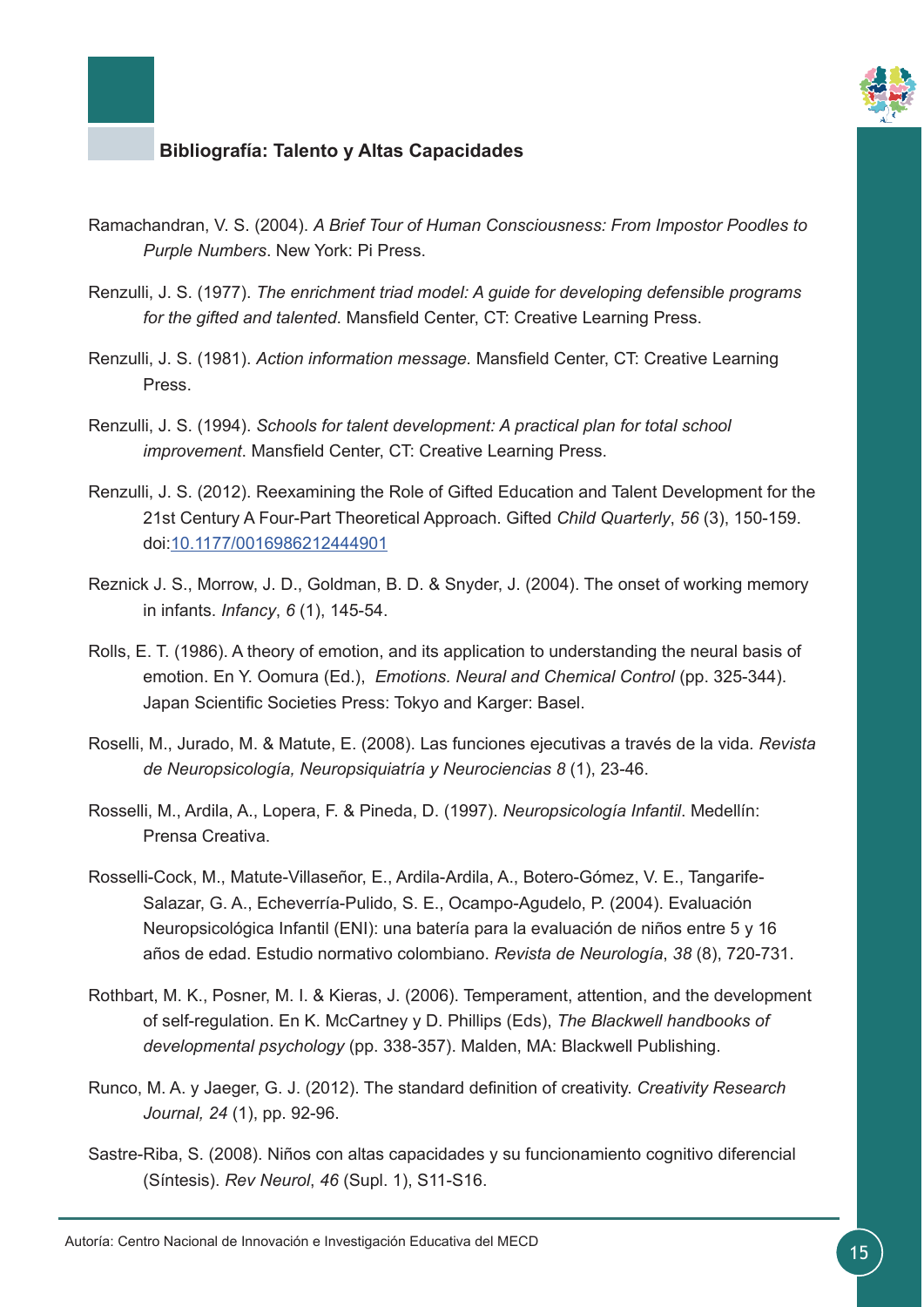

- Ramachandran, V. S. (2004). *A Brief Tour of Human Consciousness: From Impostor Poodles to Purple Numbers*. New York: Pi Press.
- Renzulli, J. S. (1977). *The enrichment triad model: A guide for developing defensible programs for the gifted and talented*. Mansfield Center, CT: Creative Learning Press.
- Renzulli, J. S. (1981). *Action information message.* Mansfield Center, CT: Creative Learning Press.
- Renzulli, J. S. (1994). *Schools for talent development: A practical plan for total school improvement*. Mansfield Center, CT: Creative Learning Press.
- Renzulli, J. S. (2012). Reexamining the Role of Gifted Education and Talent Development for the 21st Century A Four-Part Theoretical Approach. Gifted *Child Quarterly*, *56* (3), 150-159. doi[:10.1177/0016986212444901](http://journals.sagepub.com/doi/10.1177/0016986212444901)
- Reznick J. S., Morrow, J. D., Goldman, B. D. & Snyder, J. (2004). The onset of working memory in infants. *Infancy*, *6* (1), 145-54.
- Rolls, E. T. (1986). A theory of emotion, and its application to understanding the neural basis of emotion. En Y. Oomura (Ed.), *Emotions. Neural and Chemical Control* (pp. 325-344). Japan Scientific Societies Press: Tokyo and Karger: Basel.
- Roselli, M., Jurado, M. & Matute, E. (2008). Las funciones ejecutivas a través de la vida*. Revista de Neuropsicología, Neuropsiquiatría y Neurociencias 8* (1), 23-46.
- Rosselli, M., Ardila, A., Lopera, F. & Pineda, D. (1997). *Neuropsicología Infantil*. Medellín: Prensa Creativa.
- Rosselli-Cock, M., Matute-Villaseñor, E., Ardila-Ardila, A., Botero-Gómez, V. E., Tangarife-Salazar, G. A., Echeverría-Pulido, S. E., Ocampo-Agudelo, P. (2004). Evaluación Neuropsicológica Infantil (ENI): una batería para la evaluación de niños entre 5 y 16 años de edad. Estudio normativo colombiano. *Revista de Neurología*, *38* (8), 720-731.
- Rothbart, M. K., Posner, M. I. & Kieras, J. (2006). Temperament, attention, and the development of self-regulation. En K. McCartney y D. Phillips (Eds), *The Blackwell handbooks of developmental psychology* (pp. 338-357). Malden, MA: Blackwell Publishing.
- Runco, M. A. y Jaeger, G. J. (2012). The standard definition of creativity. *Creativity Research Journal, 24* (1), pp. 92-96.
- Sastre-Riba, S. (2008). Niños con altas capacidades y su funcionamiento cognitivo diferencial (Síntesis). *Rev Neurol*, *46* (Supl. 1), S11-S16.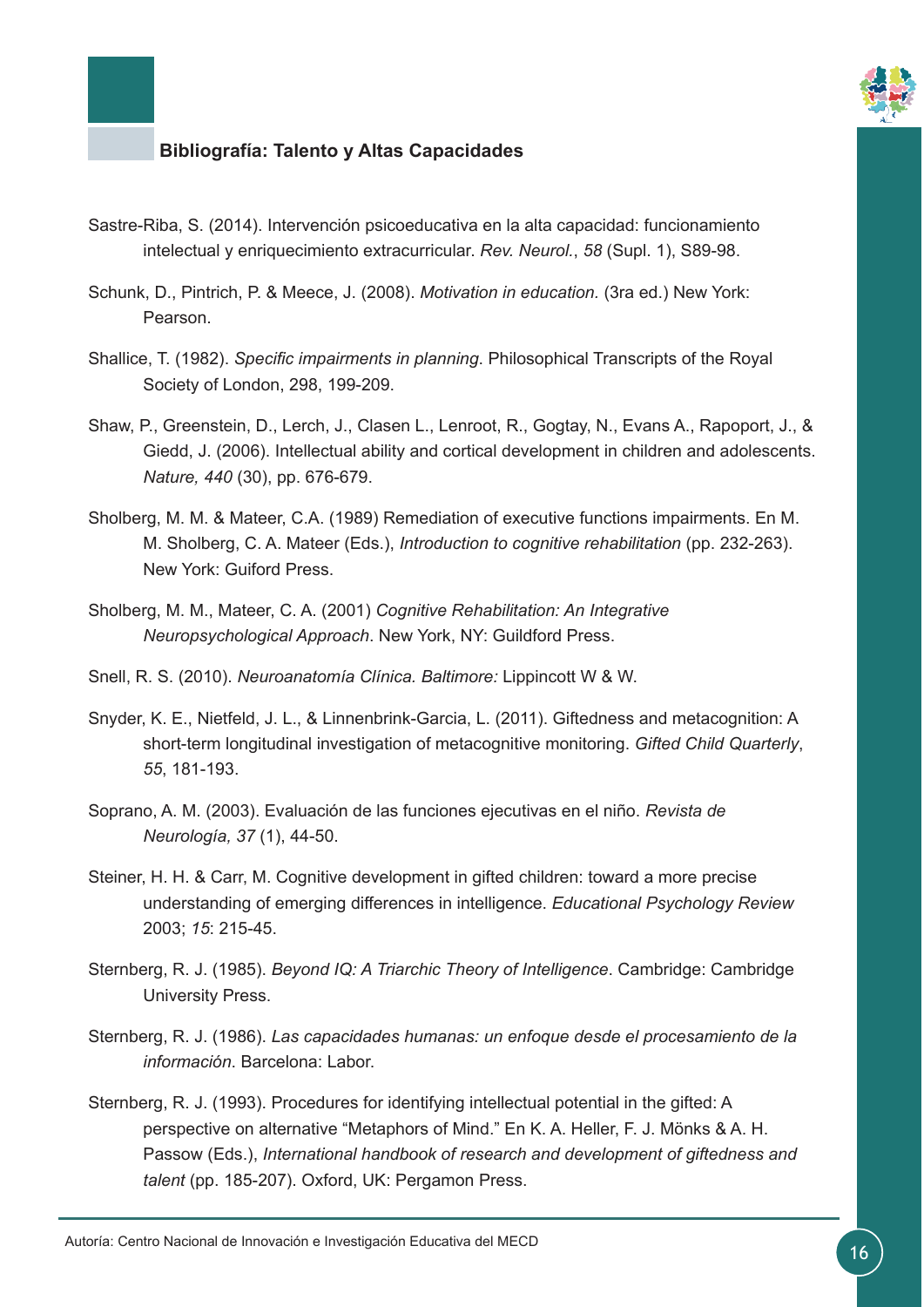

- Sastre-Riba, S. (2014). Intervención psicoeducativa en la alta capacidad: funcionamiento intelectual y enriquecimiento extracurricular. *Rev. Neurol.*, *58* (Supl. 1), S89-98.
- Schunk, D., Pintrich, P. & Meece, J. (2008). *Motivation in education.* (3ra ed.) New York: Pearson.
- Shallice, T. (1982). *Specific impairments in planning*. Philosophical Transcripts of the Royal Society of London, 298, 199-209.
- Shaw, P., Greenstein, D., Lerch, J., Clasen L., Lenroot, R., Gogtay, N., Evans A., Rapoport, J., & Giedd, J. (2006). Intellectual ability and cortical development in children and adolescents. *Nature, 440* (30), pp. 676-679.
- Sholberg, M. M. & Mateer, C.A. (1989) Remediation of executive functions impairments. En M. M. Sholberg, C. A. Mateer (Eds.), *Introduction to cognitive rehabilitation* (pp. 232-263). New York: Guiford Press.
- Sholberg, M. M., Mateer, C. A. (2001) *Cognitive Rehabilitation: An Integrative Neuropsychological Approach*. New York, NY: Guildford Press.
- Snell, R. S. (2010). *Neuroanatomía Clínica. Baltimore:* Lippincott W & W.
- Snyder, K. E., Nietfeld, J. L., & Linnenbrink-Garcia, L. (2011). Giftedness and metacognition: A short-term longitudinal investigation of metacognitive monitoring. *Gifted Child Quarterly*, *55*, 181-193.
- Soprano, A. M. (2003). Evaluación de las funciones ejecutivas en el niño. *Revista de Neurología, 37* (1), 44-50.
- Steiner, H. H. & Carr, M. Cognitive development in gifted children: toward a more precise understanding of emerging differences in intelligence. *Educational Psychology Review*  2003; *15*: 215-45.
- Sternberg, R. J. (1985). *Beyond IQ: A Triarchic Theory of Intelligence*. Cambridge: Cambridge University Press.
- Sternberg, R. J. (1986). *Las capacidades humanas: un enfoque desde el procesamiento de la información*. Barcelona: Labor.
- Sternberg, R. J. (1993). Procedures for identifying intellectual potential in the gifted: A perspective on alternative "Metaphors of Mind." En K. A. Heller, F. J. Mönks & A. H. Passow (Eds.), *International handbook of research and development of giftedness and talent* (pp. 185-207). Oxford, UK: Pergamon Press.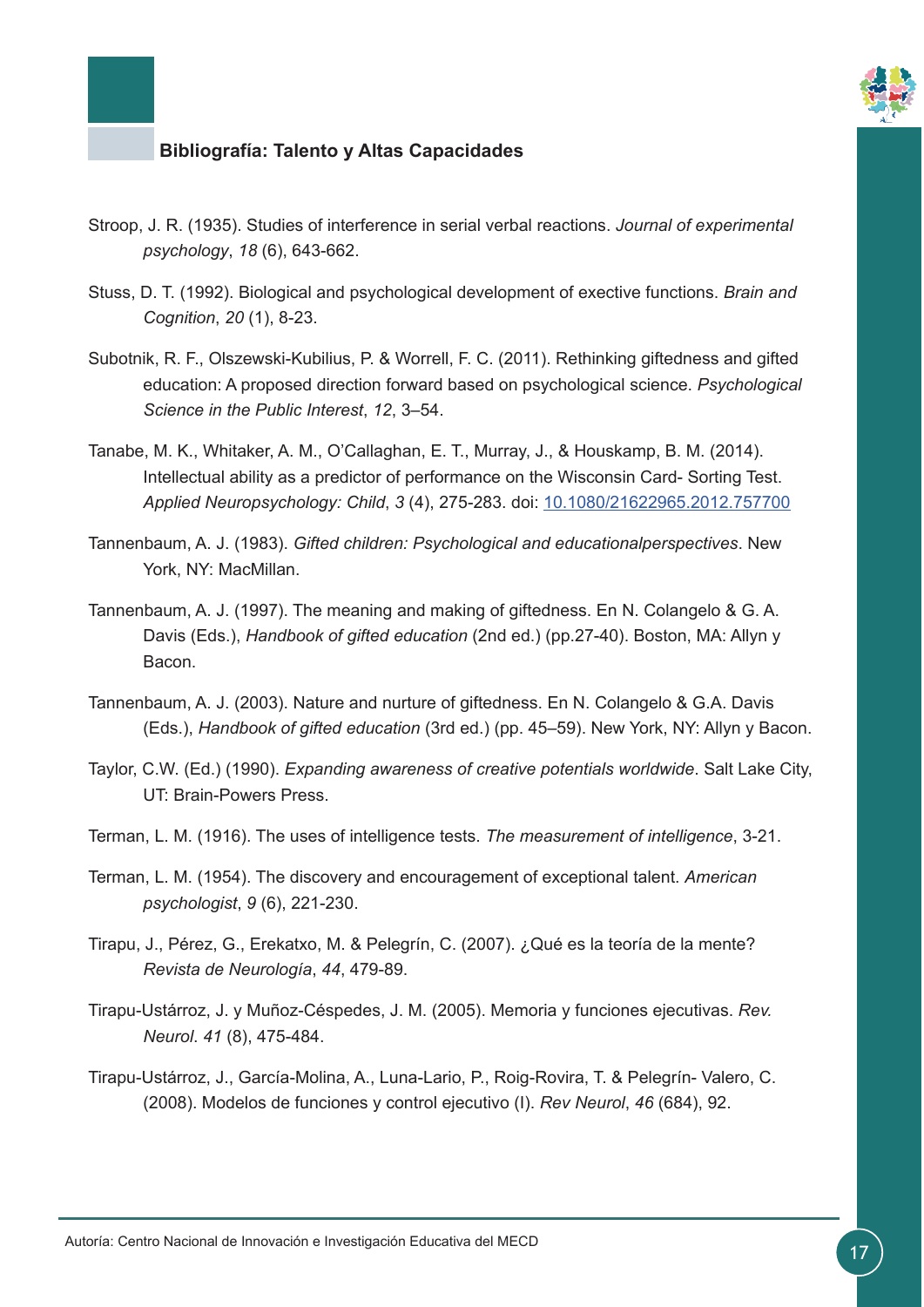

- Stroop, J. R. (1935). Studies of interference in serial verbal reactions. *Journal of experimental psychology*, *18* (6), 643-662.
- Stuss, D. T. (1992). Biological and psychological development of exective functions. *Brain and Cognition*, *20* (1), 8-23.
- Subotnik, R. F., Olszewski-Kubilius, P. & Worrell, F. C. (2011). Rethinking giftedness and gifted education: A proposed direction forward based on psychological science. *Psychological Science in the Public Interest*, *12*, 3–54.
- Tanabe, M. K., Whitaker, A. M., O'Callaghan, E. T., Murray, J., & Houskamp, B. M. (2014). Intellectual ability as a predictor of performance on the Wisconsin Card- Sorting Test. *Applied Neuropsychology: Child*, *3* (4), 275-283. doi: [10.1080/21622965.2012.757700](https://www.ncbi.nlm.nih.gov/pubmed/24083565)
- Tannenbaum, A. J. (1983). *Gifted children: Psychological and educationalperspectives*. New York, NY: MacMillan.
- Tannenbaum, A. J. (1997). The meaning and making of giftedness. En N. Colangelo & G. A. Davis (Eds.), *Handbook of gifted education* (2nd ed.) (pp.27-40). Boston, MA: Allyn y Bacon.
- Tannenbaum, A. J. (2003). Nature and nurture of giftedness. En N. Colangelo & G.A. Davis (Eds.), *Handbook of gifted education* (3rd ed.) (pp. 45–59). New York, NY: Allyn y Bacon.
- Taylor, C.W. (Ed.) (1990). *Expanding awareness of creative potentials worldwide*. Salt Lake City, UT: Brain-Powers Press.
- Terman, L. M. (1916). The uses of intelligence tests. *The measurement of intelligence*, 3-21.
- Terman, L. M. (1954). The discovery and encouragement of exceptional talent. *American psychologist*, *9* (6), 221-230.
- Tirapu, J., Pérez, G., Erekatxo, M. & Pelegrín, C. (2007). ¿Qué es la teoría de la mente? *Revista de Neurología*, *44*, 479-89.
- Tirapu-Ustárroz, J. y Muñoz-Céspedes, J. M. (2005). Memoria y funciones ejecutivas. *Rev. Neurol*. *41* (8), 475-484.
- Tirapu-Ustárroz, J., García-Molina, A., Luna-Lario, P., Roig-Rovira, T. & Pelegrín- Valero, C. (2008). Modelos de funciones y control ejecutivo (I). *Rev Neurol*, *46* (684), 92.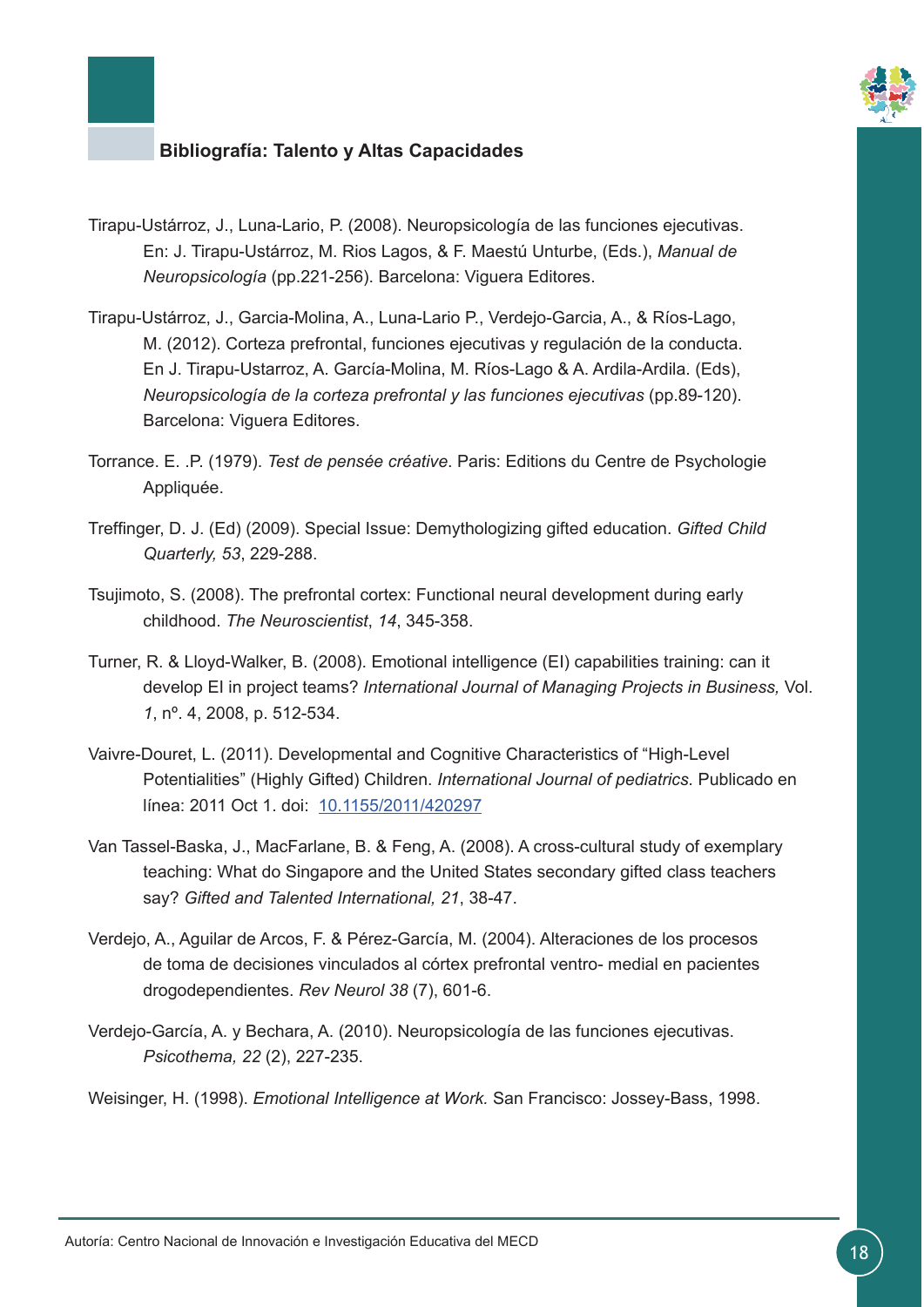

- Tirapu-Ustárroz, J., Luna-Lario, P. (2008). Neuropsicología de las funciones ejecutivas. En: J. Tirapu-Ustárroz, M. Rios Lagos, & F. Maestú Unturbe, (Eds.), *Manual de Neuropsicología* (pp.221-256). Barcelona: Viguera Editores.
- Tirapu-Ustárroz, J., Garcia-Molina, A., Luna-Lario P., Verdejo-Garcia, A., & Ríos-Lago, M. (2012). Corteza prefrontal, funciones ejecutivas y regulación de la conducta. En J. Tirapu-Ustarroz, A. García-Molina, M. Ríos-Lago & A. Ardila-Ardila. (Eds), *Neuropsicología de la corteza prefrontal y las funciones ejecutivas* (pp.89-120). Barcelona: Viguera Editores.
- Torrance. E. .P. (1979). *Test de pensée créative*. Paris: Editions du Centre de Psychologie Appliquée.
- Treffinger, D. J. (Ed) (2009). Special Issue: Demythologizing gifted education. *Gifted Child Quarterly, 53*, 229-288.
- Tsujimoto, S. (2008). The prefrontal cortex: Functional neural development during early childhood. *The Neuroscientist*, *14*, 345-358.
- Turner, R. & Lloyd-Walker, B. (2008). Emotional intelligence (EI) capabilities training: can it develop EI in project teams? *International Journal of Managing Projects in Business,* Vol. *1*, nº. 4, 2008, p. 512-534.
- Vaivre-Douret, L. (2011). Developmental and Cognitive Characteristics of "High-Level Potentialities" (Highly Gifted) Children. *International Journal of pediatrics.* Publicado en línea: 2011 Oct 1. doi: [10.1155/2011/420297](https://www.hindawi.com/journals/ijpedi/2011/420297/)
- Van Tassel-Baska, J., MacFarlane, B. & Feng, A. (2008). A cross-cultural study of exemplary teaching: What do Singapore and the United States secondary gifted class teachers say? *Gifted and Talented International, 21*, 38-47.
- Verdejo, A., Aguilar de Arcos, F. & Pérez-García, M. (2004). Alteraciones de los procesos de toma de decisiones vinculados al córtex prefrontal ventro- medial en pacientes drogodependientes. *Rev Neurol 38* (7), 601-6.
- Verdejo-García, A. y Bechara, A. (2010). Neuropsicología de las funciones ejecutivas. *Psicothema, 22* (2), 227-235.

Weisinger, H. (1998). *Emotional Intelligence at Work.* San Francisco: Jossey-Bass, 1998.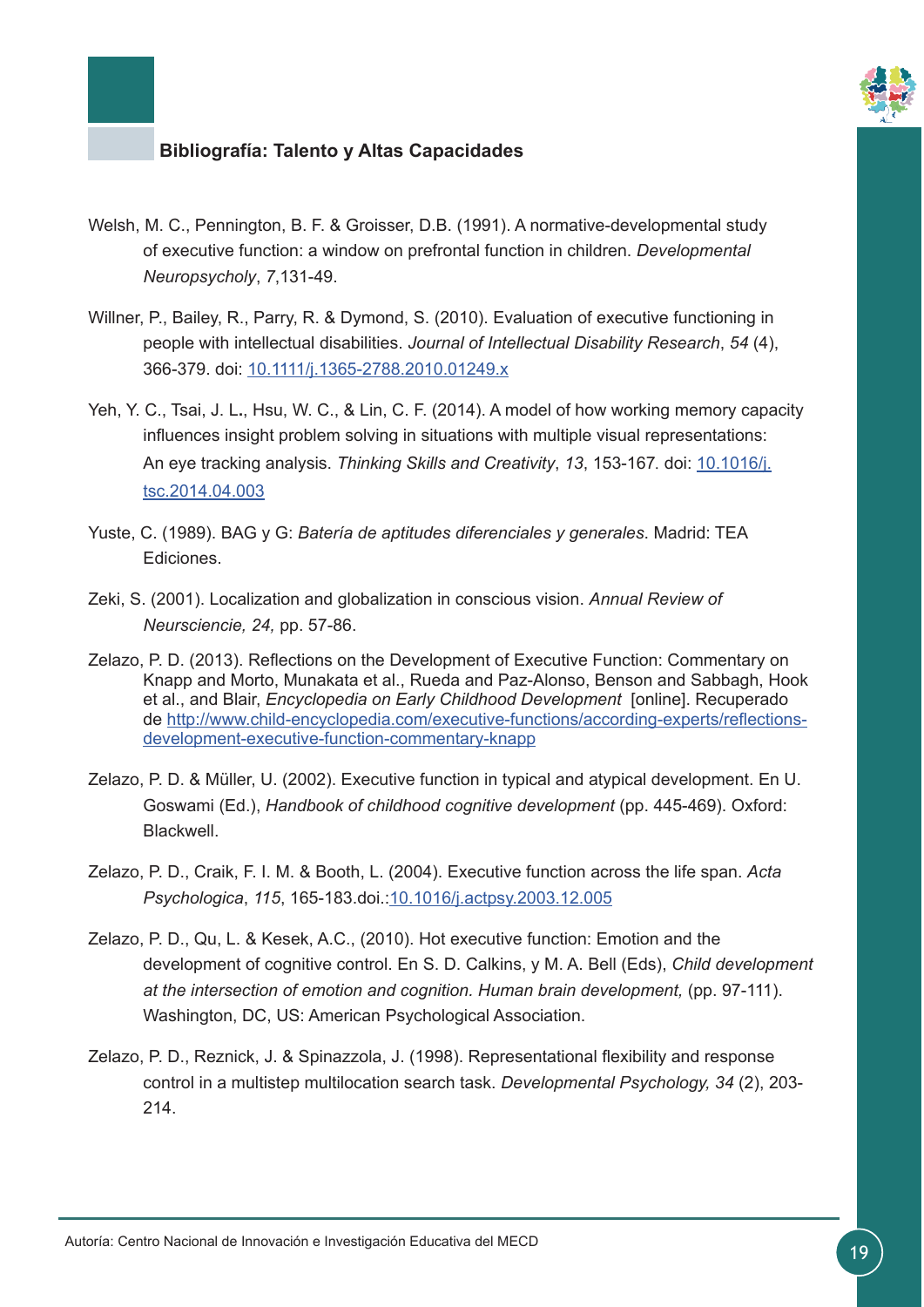

- Welsh, M. C., Pennington, B. F. & Groisser, D.B. (1991). A normative-developmental study of executive function: a window on prefrontal function in children. *Developmental Neuropsycholy*, *7*,131-49.
- Willner, P., Bailey, R., Parry, R. & Dymond, S. (2010). Evaluation of executive functioning in people with intellectual disabilities. *Journal of Intellectual Disability Research*, *54* (4), 366-379. doi: [10.1111/j.1365-2788.2010.01249.x](http://onlinelibrary.wiley.com/doi/10.1111/j.1365-2788.2010.01249.x/full)
- Yeh, Y. C., Tsai, J. L**.**, Hsu, W. C., & Lin, C. F. (2014). A model of how working memory capacity influences insight problem solving in situations with multiple visual representations: An eye tracking analysis. *Thinking Skills and Creativity*, *13*, 153-167*.* doi: [10.1016/j.](http://10.1016/j.tsc.2014.04.003) [tsc.2014.04.003](http://10.1016/j.tsc.2014.04.003)
- Yuste, C. (1989). BAG y G: *Batería de aptitudes diferenciales y generales*. Madrid: TEA Ediciones.
- Zeki, S. (2001). Localization and globalization in conscious vision. *Annual Review of Neursciencie, 24,* pp. 57-86.
- Zelazo, P. D. (2013). Reflections on the Development of Executive Function: Commentary on Knapp and Morto, Munakata et al., Rueda and Paz-Alonso, Benson and Sabbagh, Hook et al., and Blair, *Encyclopedia on Early Childhood Development* [online]. Recuperado de [http://www.child-encyclopedia.com/executive-functions/according-experts/reflections](http://www.child-encyclopedia.com/executive-functions/according-experts/reflections-development-exec)[development-executive-function-commentary-knapp](http://www.child-encyclopedia.com/executive-functions/according-experts/reflections-development-exec)
- Zelazo, P. D. & Müller, U. (2002). Executive function in typical and atypical development. En U. Goswami (Ed.), *Handbook of childhood cognitive development* (pp. 445-469). Oxford: **Blackwell**
- Zelazo, P. D., Craik, F. I. M. & Booth, L. (2004). Executive function across the life span. *Acta Psychologica*, *115*, 165-183.doi.[:10.1016/j.actpsy.2003.12.005](http://www.sciencedirect.com/science/article/pii/S0001691803001148?via%3Dihub)
- Zelazo, P. D., Qu, L. & Kesek, A.C., (2010). Hot executive function: Emotion and the development of cognitive control. En S. D. Calkins, y M. A. Bell (Eds), *Child development at the intersection of emotion and cognition. Human brain development,* (pp. 97-111). Washington, DC, US: American Psychological Association.
- Zelazo, P. D., Reznick, J. & Spinazzola, J. (1998). Representational flexibility and response control in a multistep multilocation search task. *Developmental Psychology, 34* (2), 203- 214.